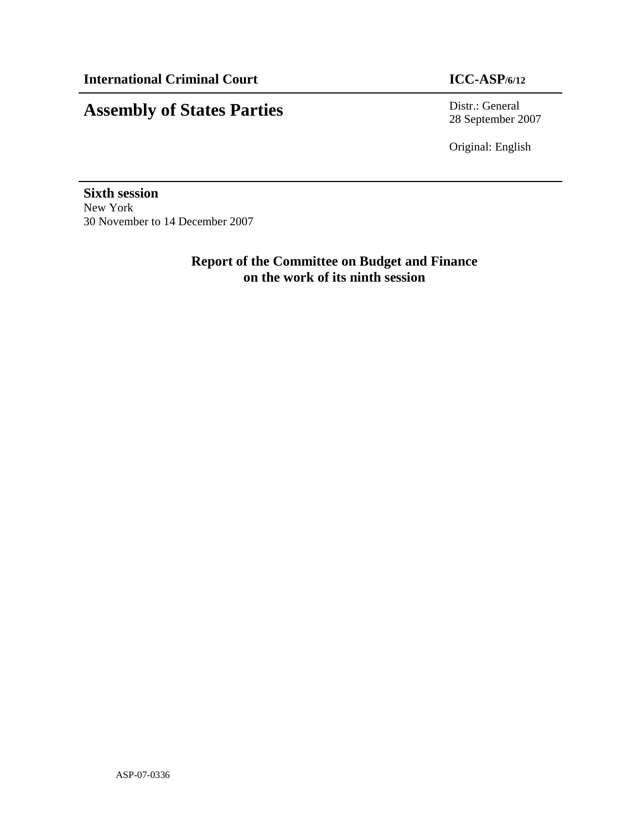# **Assembly of States Parties** Distr.: General

28 September 2007

Original: English

**Sixth session**  New York 30 November to 14 December 2007

> **Report of the Committee on Budget and Finance on the work of its ninth session**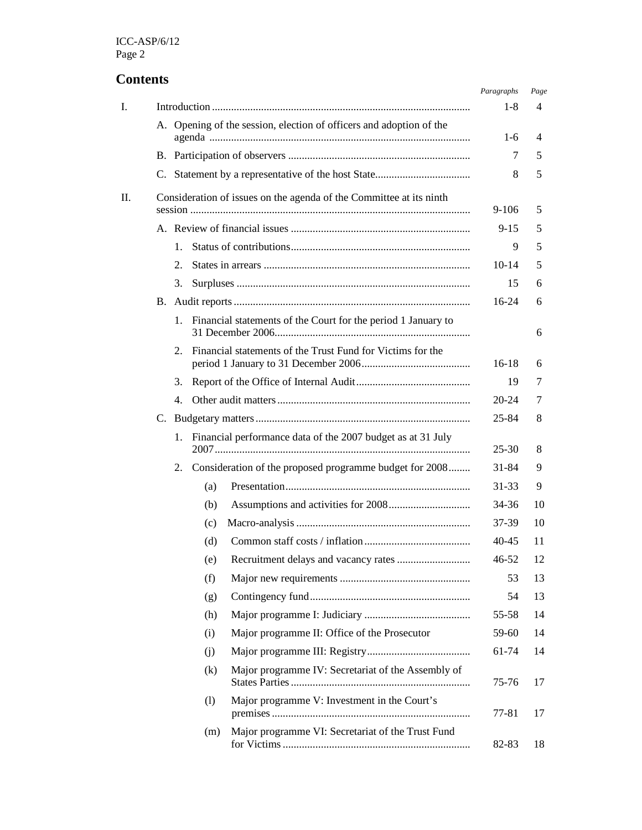# **Contents**

|    |                                                                     |       |                                                                     | Paragraphs | Page |
|----|---------------------------------------------------------------------|-------|---------------------------------------------------------------------|------------|------|
| I. |                                                                     | $1-8$ | 4                                                                   |            |      |
|    | A. Opening of the session, election of officers and adoption of the | $1-6$ | 4                                                                   |            |      |
|    |                                                                     |       |                                                                     | 7          | 5    |
|    |                                                                     |       | 8                                                                   | 5          |      |
| П. |                                                                     |       | Consideration of issues on the agenda of the Committee at its ninth | $9-106$    | 5    |
|    |                                                                     |       | $9 - 15$                                                            | 5          |      |
|    | $1_{-}$                                                             |       | 9                                                                   | 5          |      |
|    | 2.                                                                  |       |                                                                     | 10-14      | 5    |
|    | 3.                                                                  |       |                                                                     | 15         | 6    |
|    |                                                                     |       |                                                                     | $16-24$    | 6    |
|    | 1.                                                                  |       | Financial statements of the Court for the period 1 January to       |            | 6    |
|    | 2.                                                                  |       | Financial statements of the Trust Fund for Victims for the          | $16-18$    | 6    |
|    | 3.                                                                  |       |                                                                     | 19         | 7    |
|    | 4.                                                                  |       |                                                                     | $20 - 24$  | 7    |
|    |                                                                     |       |                                                                     | 25-84      | 8    |
|    | 1.                                                                  |       | Financial performance data of the 2007 budget as at 31 July         | $25 - 30$  | 8    |
|    | 2.                                                                  |       | Consideration of the proposed programme budget for 2008             | 31-84      | 9    |
|    |                                                                     | (a)   |                                                                     | 31-33      | 9    |
|    |                                                                     | (b)   |                                                                     | 34-36      | 10   |
|    |                                                                     | (c)   |                                                                     | 37-39      | 10   |
|    |                                                                     | (d)   |                                                                     | 40-45      | 11   |
|    |                                                                     | (e)   |                                                                     | $46 - 52$  | 12   |
|    |                                                                     | (f)   |                                                                     | 53         | 13   |
|    |                                                                     | (g)   |                                                                     | 54         | 13   |
|    |                                                                     | (h)   |                                                                     | 55-58      | 14   |
|    |                                                                     | (i)   | Major programme II: Office of the Prosecutor                        | 59-60      | 14   |
|    |                                                                     | (i)   |                                                                     | 61-74      | 14   |
|    |                                                                     | (k)   | Major programme IV: Secretariat of the Assembly of                  | 75-76      | 17   |
|    |                                                                     | (1)   | Major programme V: Investment in the Court's                        | 77-81      | 17   |
|    |                                                                     | (m)   | Major programme VI: Secretariat of the Trust Fund                   | 82-83      | 18   |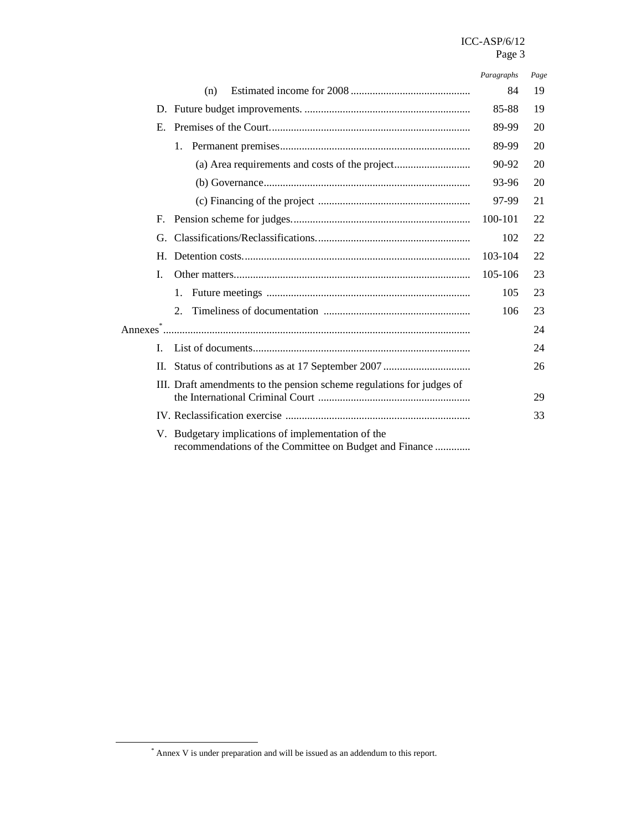#### ICC-ASP/6/12 Page 3

|              |                                                                                                              | Paragraphs | Page |
|--------------|--------------------------------------------------------------------------------------------------------------|------------|------|
|              | (n)                                                                                                          | 84         | 19   |
|              |                                                                                                              | 85-88      | 19   |
| E.           |                                                                                                              | 89-99      | 20   |
|              | $1_{\cdot}$                                                                                                  | 89-99      | 20   |
|              | (a) Area requirements and costs of the project                                                               | 90-92      | 20   |
|              |                                                                                                              | 93-96      | 20   |
|              |                                                                                                              | 97-99      | 21   |
| F.           |                                                                                                              | 100-101    | 22   |
| G.           |                                                                                                              | 102        | 22   |
| Н.           |                                                                                                              | 103-104    | 22   |
| L            |                                                                                                              | 105-106    | 23   |
|              | 1.                                                                                                           | 105        | 23   |
|              | 2.                                                                                                           | 106        | 23   |
|              |                                                                                                              |            | 24   |
| $\mathbf{I}$ |                                                                                                              |            | 24   |
|              |                                                                                                              |            | 26   |
|              | III. Draft amendments to the pension scheme regulations for judges of                                        |            | 29   |
|              |                                                                                                              |            | 33   |
|              | V. Budgetary implications of implementation of the<br>recommendations of the Committee on Budget and Finance |            |      |

<sup>\*</sup> Annex V is under preparation and will be issued as an addendum to this report.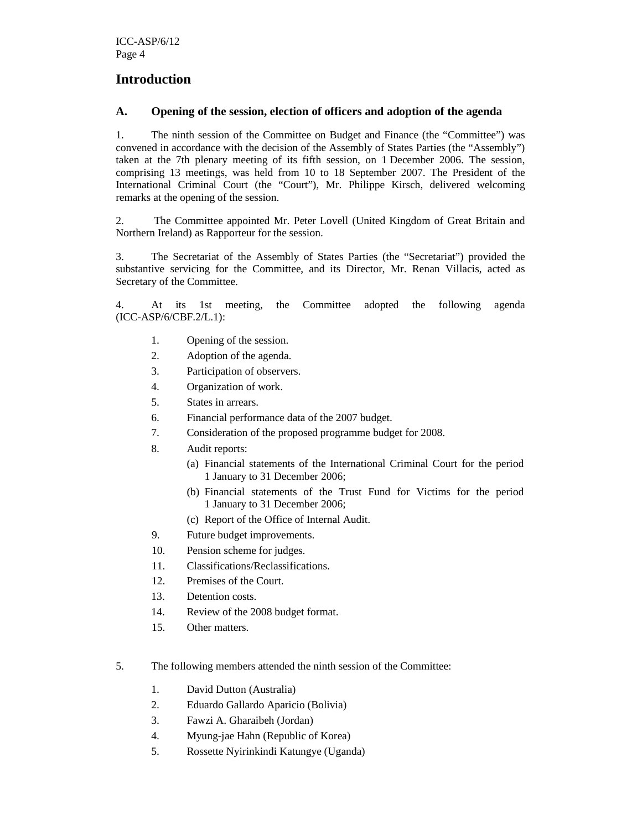# **Introduction**

### **A. Opening of the session, election of officers and adoption of the agenda**

1. The ninth session of the Committee on Budget and Finance (the "Committee") was convened in accordance with the decision of the Assembly of States Parties (the "Assembly") taken at the 7th plenary meeting of its fifth session, on 1 December 2006. The session, comprising 13 meetings, was held from 10 to 18 September 2007. The President of the International Criminal Court (the "Court"), Mr. Philippe Kirsch, delivered welcoming remarks at the opening of the session.

2. The Committee appointed Mr. Peter Lovell (United Kingdom of Great Britain and Northern Ireland) as Rapporteur for the session.

3. The Secretariat of the Assembly of States Parties (the "Secretariat") provided the substantive servicing for the Committee, and its Director, Mr. Renan Villacis, acted as Secretary of the Committee.

4. At its 1st meeting, the Committee adopted the following agenda (ICC-ASP/6/CBF.2/L.1):

- 1. Opening of the session.
- 2. Adoption of the agenda.
- 3. Participation of observers.
- 4. Organization of work.
- 5. States in arrears.
- 6. Financial performance data of the 2007 budget.
- 7. Consideration of the proposed programme budget for 2008.
- 8. Audit reports:
	- (a) Financial statements of the International Criminal Court for the period 1 January to 31 December 2006;
	- (b) Financial statements of the Trust Fund for Victims for the period 1 January to 31 December 2006;
	- (c) Report of the Office of Internal Audit.
- 9. Future budget improvements.
- 10. Pension scheme for judges.
- 11. Classifications/Reclassifications.
- 12. Premises of the Court.
- 13. Detention costs.
- 14. Review of the 2008 budget format.
- 15. Other matters.
- 5. The following members attended the ninth session of the Committee:
	- 1. David Dutton (Australia)
	- 2. Eduardo Gallardo Aparicio (Bolivia)
	- 3. Fawzi A. Gharaibeh (Jordan)
	- 4. Myung-jae Hahn (Republic of Korea)
	- 5. Rossette Nyirinkindi Katungye (Uganda)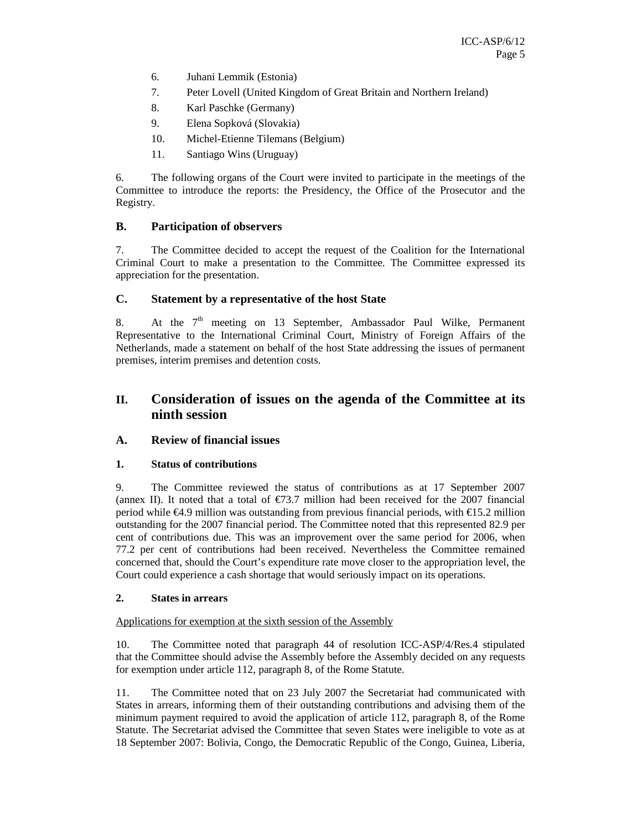- 6. Juhani Lemmik (Estonia)
- 7. Peter Lovell (United Kingdom of Great Britain and Northern Ireland)
- 8. Karl Paschke (Germany)
- 9. Elena Sopková (Slovakia)
- 10. Michel-Etienne Tilemans (Belgium)
- 11. Santiago Wins (Uruguay)

6. The following organs of the Court were invited to participate in the meetings of the Committee to introduce the reports: the Presidency, the Office of the Prosecutor and the Registry.

#### **B. Participation of observers**

7. The Committee decided to accept the request of the Coalition for the International Criminal Court to make a presentation to the Committee. The Committee expressed its appreciation for the presentation.

#### **C. Statement by a representative of the host State**

8. At the  $7<sup>th</sup>$  meeting on 13 September, Ambassador Paul Wilke, Permanent Representative to the International Criminal Court, Ministry of Foreign Affairs of the Netherlands, made a statement on behalf of the host State addressing the issues of permanent premises, interim premises and detention costs.

# **II. Consideration of issues on the agenda of the Committee at its ninth session**

#### **A. Review of financial issues**

#### **1. Status of contributions**

9. The Committee reviewed the status of contributions as at 17 September 2007 (annex II). It noted that a total of  $\epsilon$ 73.7 million had been received for the 2007 financial period while €4.9 million was outstanding from previous financial periods, with €15.2 million outstanding for the 2007 financial period. The Committee noted that this represented 82.9 per cent of contributions due. This was an improvement over the same period for 2006, when 77.2 per cent of contributions had been received. Nevertheless the Committee remained concerned that, should the Court's expenditure rate move closer to the appropriation level, the Court could experience a cash shortage that would seriously impact on its operations.

#### **2. States in arrears**

#### Applications for exemption at the sixth session of the Assembly

10. The Committee noted that paragraph 44 of resolution ICC-ASP/4/Res.4 stipulated that the Committee should advise the Assembly before the Assembly decided on any requests for exemption under article 112, paragraph 8, of the Rome Statute.

11. The Committee noted that on 23 July 2007 the Secretariat had communicated with States in arrears, informing them of their outstanding contributions and advising them of the minimum payment required to avoid the application of article 112, paragraph 8, of the Rome Statute. The Secretariat advised the Committee that seven States were ineligible to vote as at 18 September 2007: Bolivia, Congo, the Democratic Republic of the Congo, Guinea, Liberia,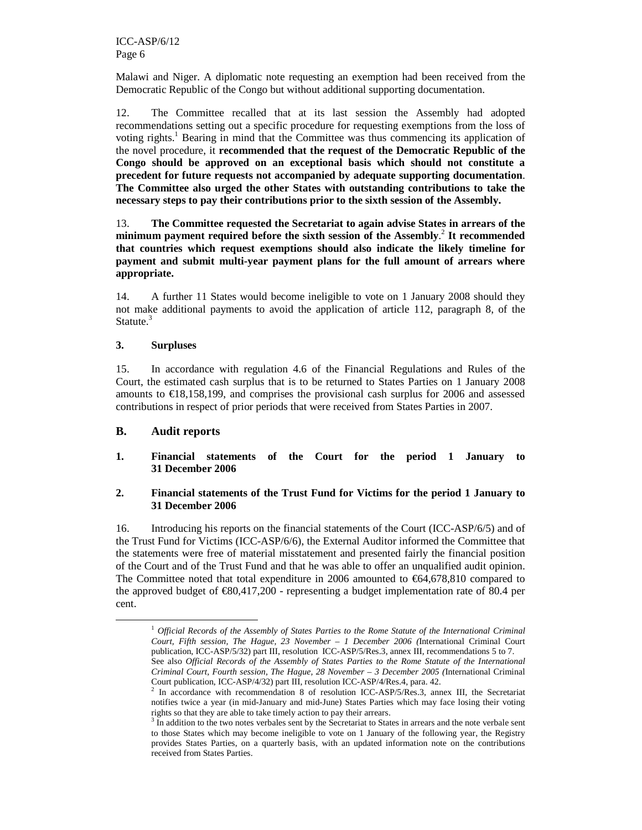Malawi and Niger. A diplomatic note requesting an exemption had been received from the Democratic Republic of the Congo but without additional supporting documentation.

12. The Committee recalled that at its last session the Assembly had adopted recommendations setting out a specific procedure for requesting exemptions from the loss of voting rights.<sup>1</sup> Bearing in mind that the Committee was thus commencing its application of the novel procedure, it **recommended that the request of the Democratic Republic of the Congo should be approved on an exceptional basis which should not constitute a precedent for future requests not accompanied by adequate supporting documentation**. **The Committee also urged the other States with outstanding contributions to take the necessary steps to pay their contributions prior to the sixth session of the Assembly.** 

13. **The Committee requested the Secretariat to again advise States in arrears of the minimum payment required before the sixth session of the Assembly**. 2 **It recommended that countries which request exemptions should also indicate the likely timeline for payment and submit multi-year payment plans for the full amount of arrears where appropriate.**

14. A further 11 States would become ineligible to vote on 1 January 2008 should they not make additional payments to avoid the application of article 112, paragraph 8, of the Statute.<sup>3</sup>

#### **3. Surpluses**

15. In accordance with regulation 4.6 of the Financial Regulations and Rules of the Court, the estimated cash surplus that is to be returned to States Parties on 1 January 2008 amounts to  $E18,158,199$ , and comprises the provisional cash surplus for 2006 and assessed contributions in respect of prior periods that were received from States Parties in 2007.

#### **B. Audit reports**

-

**1. Financial statements of the Court for the period 1 January to 31 December 2006** 

#### **2. Financial statements of the Trust Fund for Victims for the period 1 January to 31 December 2006**

16. Introducing his reports on the financial statements of the Court (ICC-ASP/6/5) and of the Trust Fund for Victims (ICC-ASP/6/6), the External Auditor informed the Committee that the statements were free of material misstatement and presented fairly the financial position of the Court and of the Trust Fund and that he was able to offer an unqualified audit opinion. The Committee noted that total expenditure in 2006 amounted to  $\epsilon$ 64,678,810 compared to the approved budget of  $\text{\textsterling}80,417,200$  - representing a budget implementation rate of 80.4 per cent.

<sup>1</sup> *Official Records of the Assembly of States Parties to the Rome Statute of the International Criminal Court, Fifth session, The Hague, 23 November – 1 December 2006 (*International Criminal Court publication, ICC-ASP/5/32) part III, resolution ICC-ASP/5/Res.3, annex III, recommendations 5 to 7.

See also *Official Records of the Assembly of States Parties to the Rome Statute of the International Criminal Court, Fourth session, The Hague, 28 November – 3 December 2005 (*International Criminal Court publication, ICC-ASP/4/32) part III, resolution ICC-ASP/4/Res.4, para. 42.<br>
<sup>2</sup> In accordance with recommendation 8 of resolution ICC ASP/5/Res.<sup>3</sup>, ann

In accordance with recommendation 8 of resolution ICC-ASP/5/Res.3, annex III, the Secretariat notifies twice a year (in mid-January and mid-June) States Parties which may face losing their voting rights so that they are able to take timely action to pay their arrears.

<sup>&</sup>lt;sup>3</sup> In addition to the two notes verbales sent by the Secretariat to States in arrears and the note verbale sent to those States which may become ineligible to vote on 1 January of the following year, the Registry provides States Parties, on a quarterly basis, with an updated information note on the contributions received from States Parties.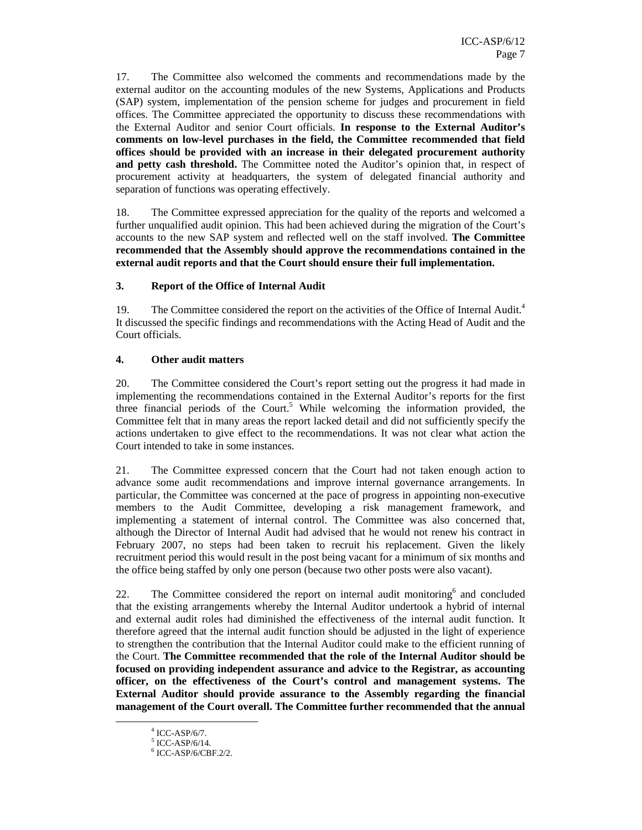17. The Committee also welcomed the comments and recommendations made by the external auditor on the accounting modules of the new Systems, Applications and Products (SAP) system, implementation of the pension scheme for judges and procurement in field offices. The Committee appreciated the opportunity to discuss these recommendations with the External Auditor and senior Court officials. **In response to the External Auditor's comments on low-level purchases in the field, the Committee recommended that field offices should be provided with an increase in their delegated procurement authority**  and petty cash threshold. The Committee noted the Auditor's opinion that, in respect of procurement activity at headquarters, the system of delegated financial authority and separation of functions was operating effectively.

18. The Committee expressed appreciation for the quality of the reports and welcomed a further unqualified audit opinion. This had been achieved during the migration of the Court's accounts to the new SAP system and reflected well on the staff involved. **The Committee recommended that the Assembly should approve the recommendations contained in the external audit reports and that the Court should ensure their full implementation.**

#### **3. Report of the Office of Internal Audit**

19. The Committee considered the report on the activities of the Office of Internal Audit.<sup>4</sup> It discussed the specific findings and recommendations with the Acting Head of Audit and the Court officials.

#### **4. Other audit matters**

20. The Committee considered the Court's report setting out the progress it had made in implementing the recommendations contained in the External Auditor's reports for the first three financial periods of the Court.<sup>5</sup> While welcoming the information provided, the Committee felt that in many areas the report lacked detail and did not sufficiently specify the actions undertaken to give effect to the recommendations. It was not clear what action the Court intended to take in some instances.

21. The Committee expressed concern that the Court had not taken enough action to advance some audit recommendations and improve internal governance arrangements. In particular, the Committee was concerned at the pace of progress in appointing non-executive members to the Audit Committee, developing a risk management framework, and implementing a statement of internal control. The Committee was also concerned that, although the Director of Internal Audit had advised that he would not renew his contract in February 2007, no steps had been taken to recruit his replacement. Given the likely recruitment period this would result in the post being vacant for a minimum of six months and the office being staffed by only one person (because two other posts were also vacant).

22. The Committee considered the report on internal audit monitoring<sup>6</sup> and concluded that the existing arrangements whereby the Internal Auditor undertook a hybrid of internal and external audit roles had diminished the effectiveness of the internal audit function. It therefore agreed that the internal audit function should be adjusted in the light of experience to strengthen the contribution that the Internal Auditor could make to the efficient running of the Court. **The Committee recommended that the role of the Internal Auditor should be focused on providing independent assurance and advice to the Registrar, as accounting officer, on the effectiveness of the Court's control and management systems. The External Auditor should provide assurance to the Assembly regarding the financial management of the Court overall. The Committee further recommended that the annual** 

<sup>4</sup> ICC-ASP/6/7.

<sup>5</sup> ICC-ASP/6/14.

<sup>6</sup> ICC-ASP/6/CBF.2/2.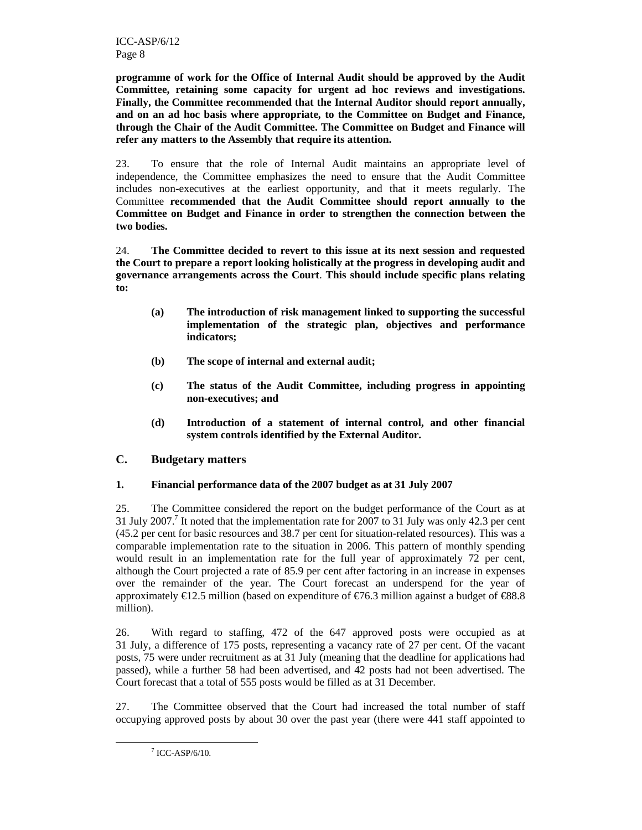**programme of work for the Office of Internal Audit should be approved by the Audit Committee, retaining some capacity for urgent ad hoc reviews and investigations. Finally, the Committee recommended that the Internal Auditor should report annually, and on an ad hoc basis where appropriate, to the Committee on Budget and Finance, through the Chair of the Audit Committee. The Committee on Budget and Finance will refer any matters to the Assembly that require its attention.** 

23. To ensure that the role of Internal Audit maintains an appropriate level of independence, the Committee emphasizes the need to ensure that the Audit Committee includes non-executives at the earliest opportunity, and that it meets regularly. The Committee **recommended that the Audit Committee should report annually to the Committee on Budget and Finance in order to strengthen the connection between the two bodies.**

24. **The Committee decided to revert to this issue at its next session and requested the Court to prepare a report looking holistically at the progress in developing audit and governance arrangements across the Court**. **This should include specific plans relating to:** 

- **(a) The introduction of risk management linked to supporting the successful implementation of the strategic plan, objectives and performance indicators;**
- **(b) The scope of internal and external audit;**
- **(c) The status of the Audit Committee, including progress in appointing non-executives; and**
- **(d) Introduction of a statement of internal control, and other financial system controls identified by the External Auditor.**

## **C. Budgetary matters**

#### **1. Financial performance data of the 2007 budget as at 31 July 2007**

25. The Committee considered the report on the budget performance of the Court as at 31 July 2007.<sup>7</sup> It noted that the implementation rate for 2007 to 31 July was only 42.3 per cent (45.2 per cent for basic resources and 38.7 per cent for situation-related resources). This was a comparable implementation rate to the situation in 2006. This pattern of monthly spending would result in an implementation rate for the full year of approximately 72 per cent, although the Court projected a rate of 85.9 per cent after factoring in an increase in expenses over the remainder of the year. The Court forecast an underspend for the year of approximately  $\text{\textsterling}12.5$  million (based on expenditure of  $\text{\textsterling}76.3$  million against a budget of  $\text{\textsterling}88.8$ million).

26. With regard to staffing, 472 of the 647 approved posts were occupied as at 31 July, a difference of 175 posts, representing a vacancy rate of 27 per cent. Of the vacant posts, 75 were under recruitment as at 31 July (meaning that the deadline for applications had passed), while a further 58 had been advertised, and 42 posts had not been advertised. The Court forecast that a total of 555 posts would be filled as at 31 December.

27. The Committee observed that the Court had increased the total number of staff occupying approved posts by about 30 over the past year (there were 441 staff appointed to

<sup>7</sup> ICC-ASP/6/10.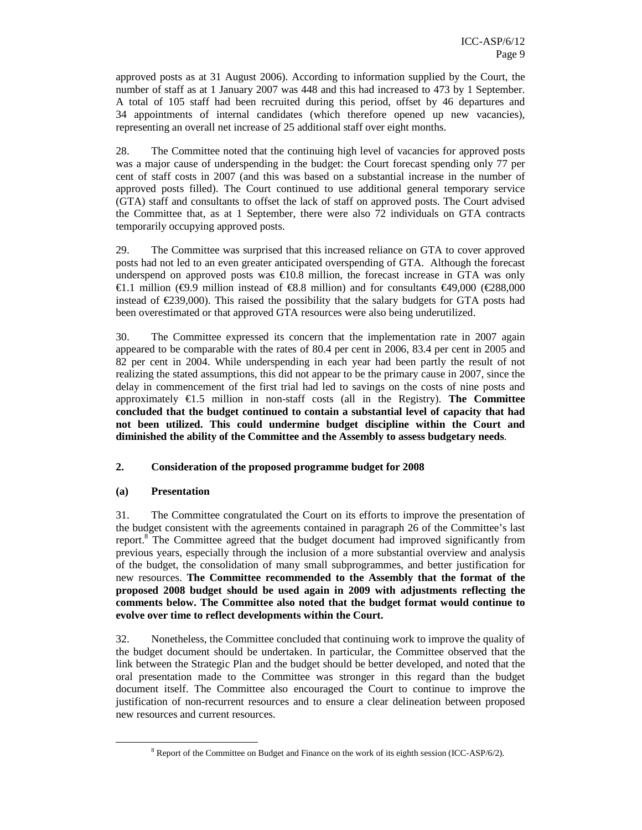approved posts as at 31 August 2006). According to information supplied by the Court, the number of staff as at 1 January 2007 was 448 and this had increased to 473 by 1 September. A total of 105 staff had been recruited during this period, offset by 46 departures and 34 appointments of internal candidates (which therefore opened up new vacancies), representing an overall net increase of 25 additional staff over eight months.

28. The Committee noted that the continuing high level of vacancies for approved posts was a major cause of underspending in the budget: the Court forecast spending only 77 per cent of staff costs in 2007 (and this was based on a substantial increase in the number of approved posts filled). The Court continued to use additional general temporary service (GTA) staff and consultants to offset the lack of staff on approved posts. The Court advised the Committee that, as at 1 September, there were also 72 individuals on GTA contracts temporarily occupying approved posts.

29. The Committee was surprised that this increased reliance on GTA to cover approved posts had not led to an even greater anticipated overspending of GTA. Although the forecast underspend on approved posts was  $\epsilon$ 10.8 million, the forecast increase in GTA was only  $€1.1$  million (€9.9 million instead of €8.8 million) and for consultants €49,000 (€288,000 instead of  $\epsilon$ 239,000). This raised the possibility hat the salary budgets for GTA posts had been overestimated or that approved GTA resources were also being underutilized.

30. The Committee expressed its concern that the implementation rate in 2007 again appeared to be comparable with the rates of 80.4 per cent in 2006, 83.4 per cent in 2005 and 82 per cent in 2004. While underspending in each year had been partly the result of not realizing the stated assumptions, this did not appear to be the primary cause in 2007, since the delay in commencement of the first trial had led to savings on the costs of nine posts and approximately €1.5 million in non-staff costs (all in the Registry). **The Committee concluded that the budget continued to contain a substantial level of capacity that had not been utilized. This could undermine budget discipline within the Court and diminished the ability of the Committee and the Assembly to assess budgetary needs**.

#### **2. Consideration of the proposed programme budget for 2008**

#### **(a) Presentation**

-

31. The Committee congratulated the Court on its efforts to improve the presentation of the budget consistent with the agreements contained in paragraph 26 of the Committee's last report.<sup>8</sup> The Committee agreed that the budget document had improved significantly from previous years, especially through the inclusion of a more substantial overview and analysis of the budget, the consolidation of many small subprogrammes, and better justification for new resources. **The Committee recommended to the Assembly that the format of the proposed 2008 budget should be used again in 2009 with adjustments reflecting the comments below. The Committee also noted that the budget format would continue to evolve over time to reflect developments within the Court.**

32. Nonetheless, the Committee concluded that continuing work to improve the quality of the budget document should be undertaken. In particular, the Committee observed that the link between the Strategic Plan and the budget should be better developed, and noted that the oral presentation made to the Committee was stronger in this regard than the budget document itself. The Committee also encouraged the Court to continue to improve the justification of non-recurrent resources and to ensure a clear delineation between proposed new resources and current resources.

<sup>&</sup>lt;sup>8</sup> Report of the Committee on Budget and Finance on the work of its eighth session (ICC-ASP/6/2).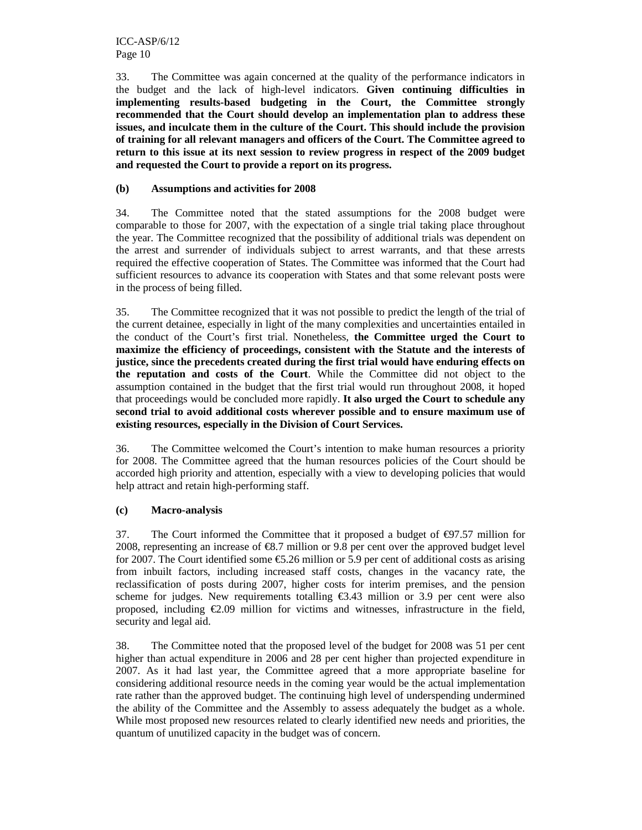33. The Committee was again concerned at the quality of the performance indicators in the budget and the lack of high-level indicators. **Given continuing difficulties in implementing results-based budgeting in the Court, the Committee strongly recommended that the Court should develop an implementation plan to address these issues, and inculcate them in the culture of the Court. This should include the provision of training for all relevant managers and officers of the Court. The Committee agreed to return to this issue at its next session to review progress in respect of the 2009 budget and requested the Court to provide a report on its progress.**

#### **(b) Assumptions and activities for 2008**

34. The Committee noted that the stated assumptions for the 2008 budget were comparable to those for 2007, with the expectation of a single trial taking place throughout the year. The Committee recognized that the possibility of additional trials was dependent on the arrest and surrender of individuals subject to arrest warrants, and that these arrests required the effective cooperation of States. The Committee was informed that the Court had sufficient resources to advance its cooperation with States and that some relevant posts were in the process of being filled.

35. The Committee recognized that it was not possible to predict the length of the trial of the current detainee, especially in light of the many complexities and uncertainties entailed in the conduct of the Court's first trial. Nonetheless, **the Committee urged the Court to maximize the efficiency of proceedings, consistent with the Statute and the interests of justice, since the precedents created during the first trial would have enduring effects on the reputation and costs of the Court**. While the Committee did not object to the assumption contained in the budget that the first trial would run throughout 2008, it hoped that proceedings would be concluded more rapidly. **It also urged the Court to schedule any second trial to avoid additional costs wherever possible and to ensure maximum use of existing resources, especially in the Division of Court Services.** 

36. The Committee welcomed the Court's intention to make human resources a priority for 2008. The Committee agreed that the human resources policies of the Court should be accorded high priority and attention, especially with a view to developing policies that would help attract and retain high-performing staff.

#### **(c) Macro-analysis**

37. The Court informed the Committee that it proposed a budget of  $\epsilon$ 97.57 million for 2008, representing an increase of  $\epsilon$ 8.7 million or 9.8 per cent over the approved budget level for 2007. The Court identified some  $\epsilon$ 5.26 million or 5.9 per cent of additional costs as arising from inbuilt factors, including increased staff costs, changes in the vacancy rate, the reclassification of posts during 2007, higher costs for interim premises, and the pension scheme for judges. New requirements totalling  $\epsilon$ 3.43 million or 3.9 per cent were also proposed, including  $\epsilon$ 2.09 million for victims and witnesses, infrastructure in the field, security and legal aid.

38. The Committee noted that the proposed level of the budget for 2008 was 51 per cent higher than actual expenditure in 2006 and 28 per cent higher than projected expenditure in 2007. As it had last year, the Committee agreed that a more appropriate baseline for considering additional resource needs in the coming year would be the actual implementation rate rather than the approved budget. The continuing high level of underspending undermined the ability of the Committee and the Assembly to assess adequately the budget as a whole. While most proposed new resources related to clearly identified new needs and priorities, the quantum of unutilized capacity in the budget was of concern.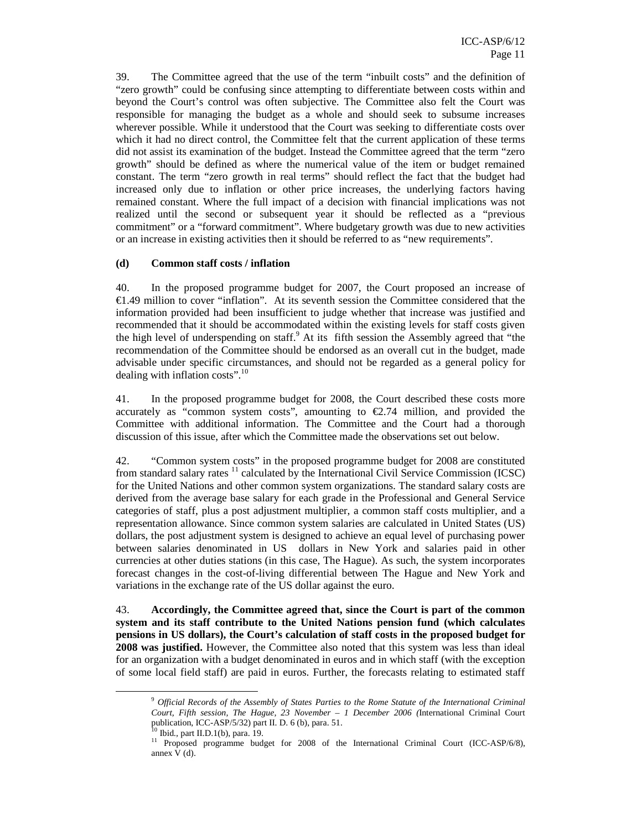39. The Committee agreed that the use of the term "inbuilt costs" and the definition of "zero growth" could be confusing since attempting to differentiate between costs within and beyond the Court's control was often subjective. The Committee also felt the Court was responsible for managing the budget as a whole and should seek to subsume increases wherever possible. While it understood that the Court was seeking to differentiate costs over which it had no direct control, the Committee felt that the current application of these terms did not assist its examination of the budget. Instead the Committee agreed that the term "zero growth" should be defined as where the numerical value of the item or budget remained constant. The term "zero growth in real terms" should reflect the fact that the budget had increased only due to inflation or other price increases, the underlying factors having remained constant. Where the full impact of a decision with financial implications was not realized until the second or subsequent year it should be reflected as a "previous commitment" or a "forward commitment". Where budgetary growth was due to new activities or an increase in existing activities then it should be referred to as "new requirements".

#### **(d) Common staff costs / inflation**

40. In the proposed programme budget for 2007, the Court proposed an increase of  $\epsilon$ 1.49 million to cover "inflation". At its seventh session the Committee considered that the information provided had been insufficient to judge whether that increase was justified and recommended that it should be accommodated within the existing levels for staff costs given the high level of underspending on staff.<sup>9</sup> At its fifth session the Assembly agreed that "the recommendation of the Committee should be endorsed as an overall cut in the budget, made advisable under specific circumstances, and should not be regarded as a general policy for dealing with inflation costs".<sup>10</sup>

41. In the proposed programme budget for 2008, the Court described these costs more accurately as "common system costs", amounting to  $\epsilon$ 2.74 million, and provided the Committee with additional information. The Committee and the Court had a thorough discussion of this issue, after which the Committee made the observations set out below.

42. "Common system costs" in the proposed programme budget for 2008 are constituted from standard salary rates  $11$  calculated by the International Civil Service Commission (ICSC) for the United Nations and other common system organizations. The standard salary costs are derived from the average base salary for each grade in the Professional and General Service categories of staff, plus a post adjustment multiplier, a common staff costs multiplier, and a representation allowance. Since common system salaries are calculated in United States (US) dollars, the post adjustment system is designed to achieve an equal level of purchasing power between salaries denominated in US dollars in New York and salaries paid in other currencies at other duties stations (in this case, The Hague). As such, the system incorporates forecast changes in the cost-of-living differential between The Hague and New York and variations in the exchange rate of the US dollar against the euro.

43. **Accordingly, the Committee agreed that, since the Court is part of the common system and its staff contribute to the United Nations pension fund (which calculates pensions in US dollars), the Court's calculation of staff costs in the proposed budget for 2008 was justified.** However, the Committee also noted that this system was less than ideal for an organization with a budget denominated in euros and in which staff (with the exception of some local field staff) are paid in euros. Further, the forecasts relating to estimated staff

<sup>9</sup> *Official Records of the Assembly of States Parties to the Rome Statute of the International Criminal Court, Fifth session, The Hague, 23 November – 1 December 2006 (*International Criminal Court publication, ICC-ASP/5/32) part II. D. 6 (b), para. 51.

<sup>10</sup> Ibid*.,* part II.D.1(b), para. 19.

<sup>&</sup>lt;sup>11</sup> Proposed programme budget for 2008 of the International Criminal Court (ICC-ASP/6/8), annex V (d).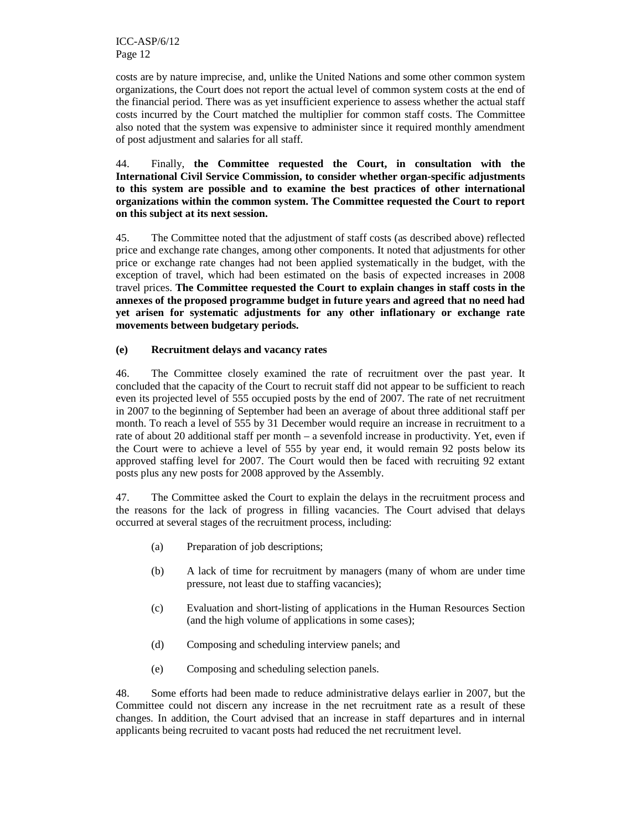costs are by nature imprecise, and, unlike the United Nations and some other common system organizations, the Court does not report the actual level of common system costs at the end of the financial period. There was as yet insufficient experience to assess whether the actual staff costs incurred by the Court matched the multiplier for common staff costs. The Committee also noted that the system was expensive to administer since it required monthly amendment of post adjustment and salaries for all staff.

44. Finally, **the Committee requested the Court, in consultation with the International Civil Service Commission, to consider whether organ-specific adjustments to this system are possible and to examine the best practices of other international organizations within the common system. The Committee requested the Court to report on this subject at its next session.** 

45. The Committee noted that the adjustment of staff costs (as described above) reflected price and exchange rate changes, among other components. It noted that adjustments for other price or exchange rate changes had not been applied systematically in the budget, with the exception of travel, which had been estimated on the basis of expected increases in 2008 travel prices. **The Committee requested the Court to explain changes in staff costs in the annexes of the proposed programme budget in future years and agreed that no need had yet arisen for systematic adjustments for any other inflationary or exchange rate movements between budgetary periods.** 

#### **(e) Recruitment delays and vacancy rates**

46. The Committee closely examined the rate of recruitment over the past year. It concluded that the capacity of the Court to recruit staff did not appear to be sufficient to reach even its projected level of 555 occupied posts by the end of 2007. The rate of net recruitment in 2007 to the beginning of September had been an average of about three additional staff per month. To reach a level of 555 by 31 December would require an increase in recruitment to a rate of about 20 additional staff per month – a sevenfold increase in productivity. Yet, even if the Court were to achieve a level of 555 by year end, it would remain 92 posts below its approved staffing level for 2007. The Court would then be faced with recruiting 92 extant posts plus any new posts for 2008 approved by the Assembly.

47. The Committee asked the Court to explain the delays in the recruitment process and the reasons for the lack of progress in filling vacancies. The Court advised that delays occurred at several stages of the recruitment process, including:

- (a) Preparation of job descriptions;
- (b) A lack of time for recruitment by managers (many of whom are under time pressure, not least due to staffing vacancies);
- (c) Evaluation and short-listing of applications in the Human Resources Section (and the high volume of applications in some cases);
- (d) Composing and scheduling interview panels; and
- (e) Composing and scheduling selection panels.

48. Some efforts had been made to reduce administrative delays earlier in 2007, but the Committee could not discern any increase in the net recruitment rate as a result of these changes. In addition, the Court advised that an increase in staff departures and in internal applicants being recruited to vacant posts had reduced the net recruitment level.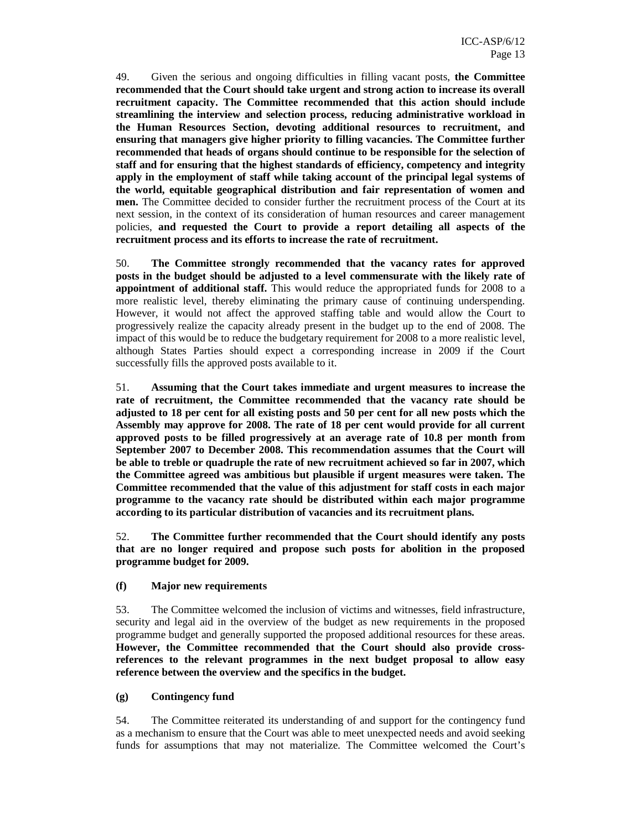49. Given the serious and ongoing difficulties in filling vacant posts, **the Committee recommended that the Court should take urgent and strong action to increase its overall recruitment capacity. The Committee recommended that this action should include streamlining the interview and selection process, reducing administrative workload in the Human Resources Section, devoting additional resources to recruitment, and ensuring that managers give higher priority to filling vacancies. The Committee further recommended that heads of organs should continue to be responsible for the selection of staff and for ensuring that the highest standards of efficiency, competency and integrity apply in the employment of staff while taking account of the principal legal systems of the world, equitable geographical distribution and fair representation of women and men.** The Committee decided to consider further the recruitment process of the Court at its next session, in the context of its consideration of human resources and career management policies, **and requested the Court to provide a report detailing all aspects of the recruitment process and its efforts to increase the rate of recruitment.** 

50. **The Committee strongly recommended that the vacancy rates for approved posts in the budget should be adjusted to a level commensurate with the likely rate of appointment of additional staff.** This would reduce the appropriated funds for 2008 to a more realistic level, thereby eliminating the primary cause of continuing underspending. However, it would not affect the approved staffing table and would allow the Court to progressively realize the capacity already present in the budget up to the end of 2008. The impact of this would be to reduce the budgetary requirement for 2008 to a more realistic level, although States Parties should expect a corresponding increase in 2009 if the Court successfully fills the approved posts available to it.

51. **Assuming that the Court takes immediate and urgent measures to increase the rate of recruitment, the Committee recommended that the vacancy rate should be adjusted to 18 per cent for all existing posts and 50 per cent for all new posts which the Assembly may approve for 2008. The rate of 18 per cent would provide for all current approved posts to be filled progressively at an average rate of 10.8 per month from September 2007 to December 2008. This recommendation assumes that the Court will be able to treble or quadruple the rate of new recruitment achieved so far in 2007, which the Committee agreed was ambitious but plausible if urgent measures were taken. The Committee recommended that the value of this adjustment for staff costs in each major programme to the vacancy rate should be distributed within each major programme according to its particular distribution of vacancies and its recruitment plans.** 

52. **The Committee further recommended that the Court should identify any posts that are no longer required and propose such posts for abolition in the proposed programme budget for 2009.** 

#### **(f) Major new requirements**

53. The Committee welcomed the inclusion of victims and witnesses, field infrastructure, security and legal aid in the overview of the budget as new requirements in the proposed programme budget and generally supported the proposed additional resources for these areas. **However, the Committee recommended that the Court should also provide crossreferences to the relevant programmes in the next budget proposal to allow easy reference between the overview and the specifics in the budget.** 

#### **(g) Contingency fund**

54. The Committee reiterated its understanding of and support for the contingency fund as a mechanism to ensure that the Court was able to meet unexpected needs and avoid seeking funds for assumptions that may not materialize. The Committee welcomed the Court's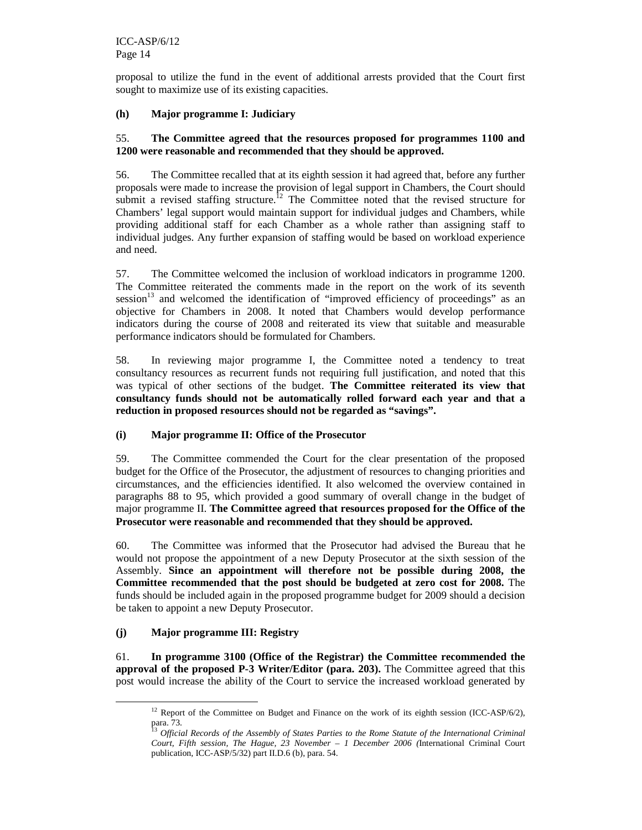proposal to utilize the fund in the event of additional arrests provided that the Court first sought to maximize use of its existing capacities.

#### **(h) Major programme I: Judiciary**

#### 55. **The Committee agreed that the resources proposed for programmes 1100 and 1200 were reasonable and recommended that they should be approved.**

56. The Committee recalled that at its eighth session it had agreed that, before any further proposals were made to increase the provision of legal support in Chambers, the Court should submit a revised staffing structure.<sup>12</sup> The Committee noted that the revised structure for Chambers' legal support would maintain support for individual judges and Chambers, while providing additional staff for each Chamber as a whole rather than assigning staff to individual judges. Any further expansion of staffing would be based on workload experience and need.

57. The Committee welcomed the inclusion of workload indicators in programme 1200. The Committee reiterated the comments made in the report on the work of its seventh session<sup>13</sup> and welcomed the identification of "improved efficiency of proceedings" as an objective for Chambers in 2008. It noted that Chambers would develop performance indicators during the course of 2008 and reiterated its view that suitable and measurable performance indicators should be formulated for Chambers.

58. In reviewing major programme I, the Committee noted a tendency to treat consultancy resources as recurrent funds not requiring full justification, and noted that this was typical of other sections of the budget. **The Committee reiterated its view that consultancy funds should not be automatically rolled forward each year and that a reduction in proposed resources should not be regarded as "savings".** 

#### **(i) Major programme II: Office of the Prosecutor**

59. The Committee commended the Court for the clear presentation of the proposed budget for the Office of the Prosecutor, the adjustment of resources to changing priorities and circumstances, and the efficiencies identified. It also welcomed the overview contained in paragraphs 88 to 95, which provided a good summary of overall change in the budget of major programme II. **The Committee agreed that resources proposed for the Office of the Prosecutor were reasonable and recommended that they should be approved.** 

60. The Committee was informed that the Prosecutor had advised the Bureau that he would not propose the appointment of a new Deputy Prosecutor at the sixth session of the Assembly. **Since an appointment will therefore not be possible during 2008, the Committee recommended that the post should be budgeted at zero cost for 2008.** The funds should be included again in the proposed programme budget for 2009 should a decision be taken to appoint a new Deputy Prosecutor.

#### **(j) Major programme III: Registry**

-

61. **In programme 3100 (Office of the Registrar) the Committee recommended the approval of the proposed P-3 Writer/Editor (para. 203).** The Committee agreed that this post would increase the ability of the Court to service the increased workload generated by

<sup>&</sup>lt;sup>12</sup> Report of the Committee on Budget and Finance on the work of its eighth session (ICC-ASP/6/2), para. 73.

<sup>13</sup> *Official Records of the Assembly of States Parties to the Rome Statute of the International Criminal Court, Fifth session, The Hague, 23 November – 1 December 2006 (*International Criminal Court publication, ICC-ASP/5/32) part II.D.6 (b), para. 54.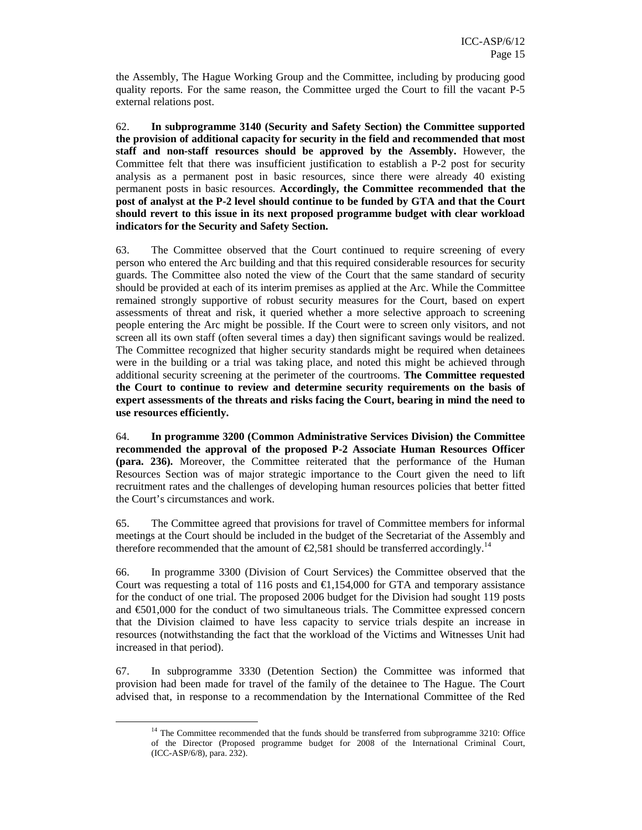the Assembly, The Hague Working Group and the Committee, including by producing good quality reports. For the same reason, the Committee urged the Court to fill the vacant P-5 external relations post.

62. **In subprogramme 3140 (Security and Safety Section) the Committee supported the provision of additional capacity for security in the field and recommended that most staff and non-staff resources should be approved by the Assembly.** However, the Committee felt that there was insufficient justification to establish a P-2 post for security analysis as a permanent post in basic resources, since there were already 40 existing permanent posts in basic resources. **Accordingly, the Committee recommended that the post of analyst at the P-2 level should continue to be funded by GTA and that the Court should revert to this issue in its next proposed programme budget with clear workload indicators for the Security and Safety Section.** 

63. The Committee observed that the Court continued to require screening of every person who entered the Arc building and that this required considerable resources for security guards. The Committee also noted the view of the Court that the same standard of security should be provided at each of its interim premises as applied at the Arc. While the Committee remained strongly supportive of robust security measures for the Court, based on expert assessments of threat and risk, it queried whether a more selective approach to screening people entering the Arc might be possible. If the Court were to screen only visitors, and not screen all its own staff (often several times a day) then significant savings would be realized. The Committee recognized that higher security standards might be required when detainees were in the building or a trial was taking place, and noted this might be achieved through additional security screening at the perimeter of the courtrooms. **The Committee requested the Court to continue to review and determine security requirements on the basis of expert assessments of the threats and risks facing the Court, bearing in mind the need to use resources efficiently.** 

64. **In programme 3200 (Common Administrative Services Division) the Committee recommended the approval of the proposed P-2 Associate Human Resources Officer (para. 236).** Moreover, the Committee reiterated that the performance of the Human Resources Section was of major strategic importance to the Court given the need to lift recruitment rates and the challenges of developing human resources policies that better fitted the Court's circumstances and work.

65. The Committee agreed that provisions for travel of Committee members for informal meetings at the Court should be included in the budget of the Secretariat of the Assembly and therefore recommended that the amount of  $\epsilon$ 2,581 should be transferred accordingly.<sup>14</sup>

66. In programme 3300 (Division of Court Services) the Committee observed that the Court was requesting a total of 116 posts and  $\epsilon$ 1,154,000 for GTA and temporary assistance for the conduct of one trial. The proposed 2006 budget for the Division had sought 119 posts and €501,000 for the conduct of two simultaneous trials. The Committee expressed concern that the Division claimed to have less capacity to service trials despite an increase in resources (notwithstanding the fact that the workload of the Victims and Witnesses Unit had increased in that period).

67. In subprogramme 3330 (Detention Section) the Committee was informed that provision had been made for travel of the family of the detainee to The Hague. The Court advised that, in response to a recommendation by the International Committee of the Red

<sup>&</sup>lt;sup>14</sup> The Committee recommended that the funds should be transferred from subprogramme 3210: Office of the Director (Proposed programme budget for 2008 of the International Criminal Court, (ICC-ASP/6/8), para. 232).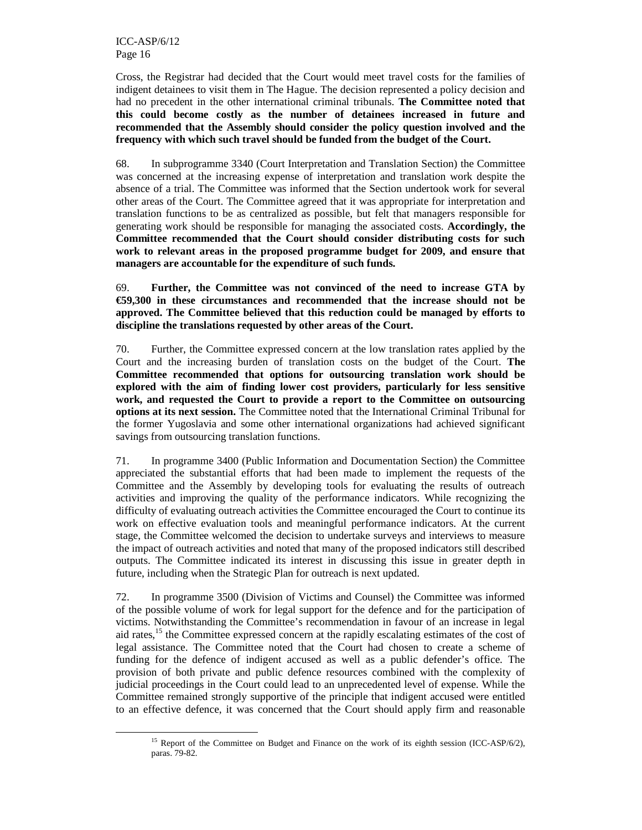-

Cross, the Registrar had decided that the Court would meet travel costs for the families of indigent detainees to visit them in The Hague. The decision represented a policy decision and had no precedent in the other international criminal tribunals. **The Committee noted that this could become costly as the number of detainees increased in future and recommended that the Assembly should consider the policy question involved and the frequency with which such travel should be funded from the budget of the Court.**

68. In subprogramme 3340 (Court Interpretation and Translation Section) the Committee was concerned at the increasing expense of interpretation and translation work despite the absence of a trial. The Committee was informed that the Section undertook work for several other areas of the Court. The Committee agreed that it was appropriate for interpretation and translation functions to be as centralized as possible, but felt that managers responsible for generating work should be responsible for managing the associated costs. **Accordingly, the Committee recommended that the Court should consider distributing costs for such work to relevant areas in the proposed programme budget for 2009, and ensure that managers are accountable for the expenditure of such funds.** 

69. **Further, the Committee was not convinced of the need to increase GTA by €59,300 in these circumstances and recommended that the increase should not be approved. The Committee believed that this reduction could be managed by efforts to discipline the translations requested by other areas of the Court.** 

70. Further, the Committee expressed concern at the low translation rates applied by the Court and the increasing burden of translation costs on the budget of the Court. **The Committee recommended that options for outsourcing translation work should be explored with the aim of finding lower cost providers, particularly for less sensitive work, and requested the Court to provide a report to the Committee on outsourcing options at its next session.** The Committee noted that the International Criminal Tribunal for the former Yugoslavia and some other international organizations had achieved significant savings from outsourcing translation functions.

71. In programme 3400 (Public Information and Documentation Section) the Committee appreciated the substantial efforts that had been made to implement the requests of the Committee and the Assembly by developing tools for evaluating the results of outreach activities and improving the quality of the performance indicators. While recognizing the difficulty of evaluating outreach activities the Committee encouraged the Court to continue its work on effective evaluation tools and meaningful performance indicators. At the current stage, the Committee welcomed the decision to undertake surveys and interviews to measure the impact of outreach activities and noted that many of the proposed indicators still described outputs. The Committee indicated its interest in discussing this issue in greater depth in future, including when the Strategic Plan for outreach is next updated.

72. In programme 3500 (Division of Victims and Counsel) the Committee was informed of the possible volume of work for legal support for the defence and for the participation of victims. Notwithstanding the Committee's recommendation in favour of an increase in legal aid rates,<sup>15</sup> the Committee expressed concern at the rapidly escalating estimates of the cost of legal assistance. The Committee noted that the Court had chosen to create a scheme of funding for the defence of indigent accused as well as a public defender's office. The provision of both private and public defence resources combined with the complexity of judicial proceedings in the Court could lead to an unprecedented level of expense. While the Committee remained strongly supportive of the principle that indigent accused were entitled to an effective defence, it was concerned that the Court should apply firm and reasonable

<sup>&</sup>lt;sup>15</sup> Report of the Committee on Budget and Finance on the work of its eighth session (ICC-ASP/6/2), paras. 79-82.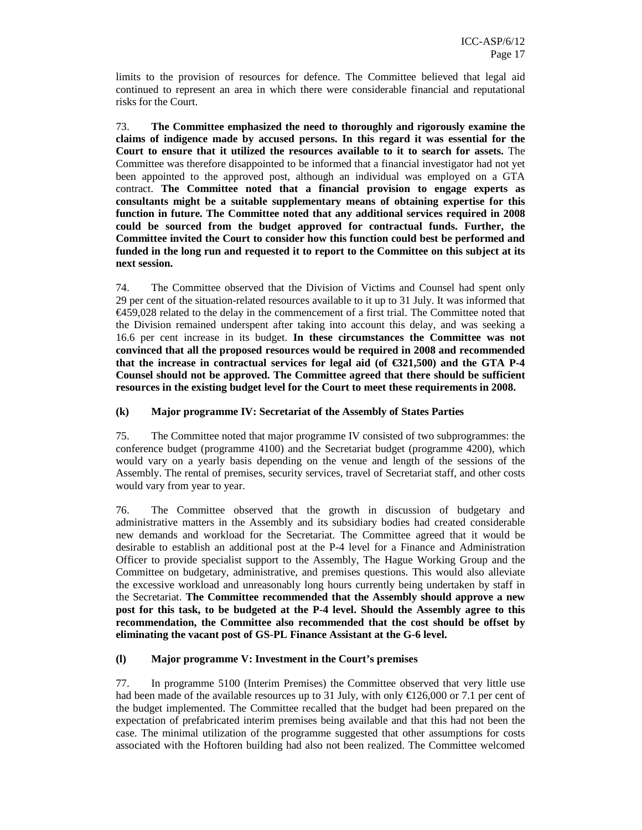limits to the provision of resources for defence. The Committee believed that legal aid continued to represent an area in which there were considerable financial and reputational risks for the Court.

73. **The Committee emphasized the need to thoroughly and rigorously examine the claims of indigence made by accused persons. In this regard it was essential for the Court to ensure that it utilized the resources available to it to search for assets.** The Committee was therefore disappointed to be informed that a financial investigator had not yet been appointed to the approved post, although an individual was employed on a GTA contract. **The Committee noted that a financial provision to engage experts as consultants might be a suitable supplementary means of obtaining expertise for this function in future. The Committee noted that any additional services required in 2008 could be sourced from the budget approved for contractual funds. Further, the Committee invited the Court to consider how this function could best be performed and funded in the long run and requested it to report to the Committee on this subject at its next session.** 

74. The Committee observed that the Division of Victims and Counsel had spent only 29 per cent of the situation-related resources available to it up to 31 July. It was informed that  $\epsilon$ 459,028 related to the delay in the commencement of a first trial. The Committee noted that the Division remained underspent after taking into account this delay, and was seeking a 16.6 per cent increase in its budget. **In these circumstances the Committee was not convinced that all the proposed resources would be required in 2008 and recommended**  that the increase in contractual services for legal aid (of  $\epsilon$ 321,500) and the GTA P-4 **Counsel should not be approved. The Committee agreed that there should be sufficient resources in the existing budget level for the Court to meet these requirements in 2008.**

#### **(k) Major programme IV: Secretariat of the Assembly of States Parties**

75. The Committee noted that major programme IV consisted of two subprogrammes: the conference budget (programme 4100) and the Secretariat budget (programme 4200), which would vary on a yearly basis depending on the venue and length of the sessions of the Assembly. The rental of premises, security services, travel of Secretariat staff, and other costs would vary from year to year.

76. The Committee observed that the growth in discussion of budgetary and administrative matters in the Assembly and its subsidiary bodies had created considerable new demands and workload for the Secretariat. The Committee agreed that it would be desirable to establish an additional post at the P-4 level for a Finance and Administration Officer to provide specialist support to the Assembly, The Hague Working Group and the Committee on budgetary, administrative, and premises questions. This would also alleviate the excessive workload and unreasonably long hours currently being undertaken by staff in the Secretariat. **The Committee recommended that the Assembly should approve a new post for this task, to be budgeted at the P-4 level. Should the Assembly agree to this recommendation, the Committee also recommended that the cost should be offset by eliminating the vacant post of GS-PL Finance Assistant at the G-6 level.** 

#### **(l) Major programme V: Investment in the Court's premises**

77. In programme 5100 (Interim Premises) the Committee observed that very little use had been made of the available resources up to 31 July, with only  $\text{\textsterling}126,000$  or 7.1 per cent of the budget implemented. The Committee recalled that the budget had been prepared on the expectation of prefabricated interim premises being available and that this had not been the case. The minimal utilization of the programme suggested that other assumptions for costs associated with the Hoftoren building had also not been realized. The Committee welcomed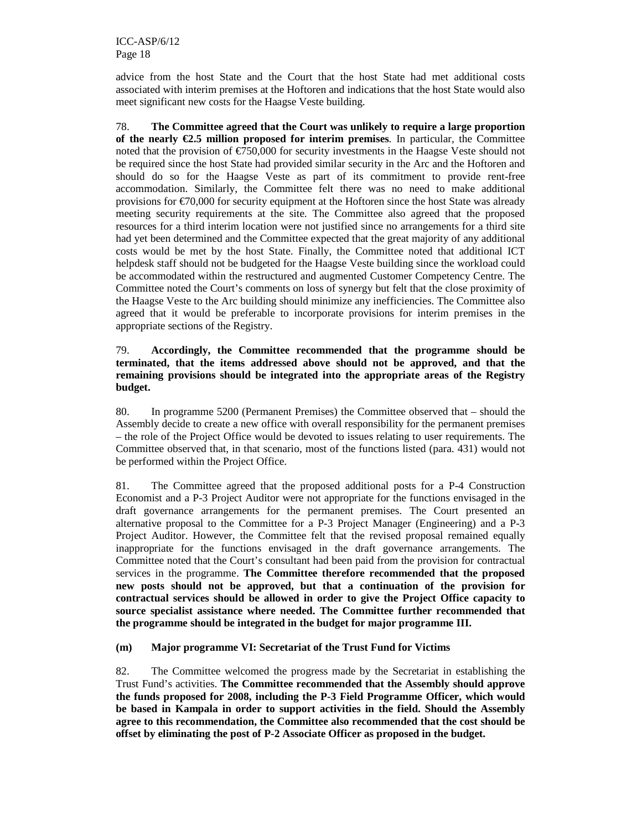advice from the host State and the Court that the host State had met additional costs associated with interim premises at the Hoftoren and indications that the host State would also meet significant new costs for the Haagse Veste building.

78. **The Committee agreed that the Court was unlikely to require a large proportion of the nearly €2.5 million proposed for interim premises**. In particular, the Committee noted that the provision of  $\epsilon$ 750,000 for security investments in the Haagse Veste should not be required since the host State had provided similar security in the Arc and the Hoftoren and should do so for the Haagse Veste as part of its commitment to provide rent-free accommodation. Similarly, the Committee felt there was no need to make additional provisions for  $\epsilon$ 70,000 for security equipment at the Hoftoren since the host State was already meeting security requirements at the site. The Committee also agreed that the proposed resources for a third interim location were not justified since no arrangements for a third site had yet been determined and the Committee expected that the great majority of any additional costs would be met by the host State. Finally, the Committee noted that additional ICT helpdesk staff should not be budgeted for the Haagse Veste building since the workload could be accommodated within the restructured and augmented Customer Competency Centre. The Committee noted the Court's comments on loss of synergy but felt that the close proximity of the Haagse Veste to the Arc building should minimize any inefficiencies. The Committee also agreed that it would be preferable to incorporate provisions for interim premises in the appropriate sections of the Registry.

#### 79. **Accordingly, the Committee recommended that the programme should be terminated, that the items addressed above should not be approved, and that the remaining provisions should be integrated into the appropriate areas of the Registry budget.**

80. In programme 5200 (Permanent Premises) the Committee observed that – should the Assembly decide to create a new office with overall responsibility for the permanent premises – the role of the Project Office would be devoted to issues relating to user requirements. The Committee observed that, in that scenario, most of the functions listed (para. 431) would not be performed within the Project Office.

81. The Committee agreed that the proposed additional posts for a P-4 Construction Economist and a P-3 Project Auditor were not appropriate for the functions envisaged in the draft governance arrangements for the permanent premises. The Court presented an alternative proposal to the Committee for a P-3 Project Manager (Engineering) and a P-3 Project Auditor. However, the Committee felt that the revised proposal remained equally inappropriate for the functions envisaged in the draft governance arrangements. The Committee noted that the Court's consultant had been paid from the provision for contractual services in the programme. **The Committee therefore recommended that the proposed new posts should not be approved, but that a continuation of the provision for contractual services should be allowed in order to give the Project Office capacity to source specialist assistance where needed. The Committee further recommended that the programme should be integrated in the budget for major programme III.**

**(m) Major programme VI: Secretariat of the Trust Fund for Victims** 

82. The Committee welcomed the progress made by the Secretariat in establishing the Trust Fund's activities. **The Committee recommended that the Assembly should approve the funds proposed for 2008, including the P-3 Field Programme Officer, which would be based in Kampala in order to support activities in the field. Should the Assembly agree to this recommendation, the Committee also recommended that the cost should be offset by eliminating the post of P-2 Associate Officer as proposed in the budget.**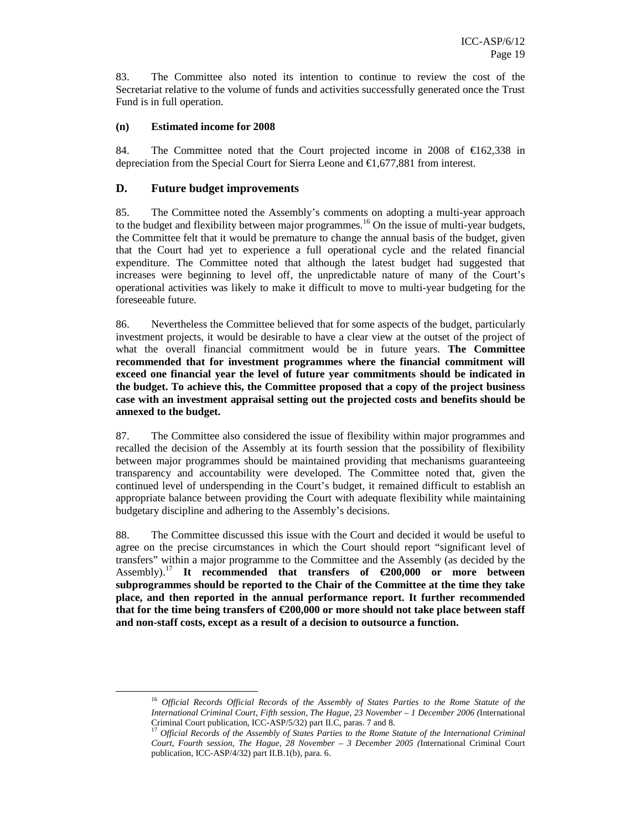83. The Committee also noted its intention to continue to review the cost of the Secretariat relative to the volume of funds and activities successfully generated once the Trust Fund is in full operation.

#### **(n) Estimated income for 2008**

84. The Committee noted that the Court projected income in 2008 of  $\epsilon$ 162,338 in depreciation from the Special Court for Sierra Leone and  $\epsilon$ 1,677,881 from interest.

#### **D. Future budget improvements**

-

85. The Committee noted the Assembly's comments on adopting a multi-year approach to the budget and flexibility between major programmes. <sup>16</sup> On the issue of multi-year budgets, the Committee felt that it would be premature to change the annual basis of the budget, given that the Court had yet to experience a full operational cycle and the related financial expenditure. The Committee noted that although the latest budget had suggested that increases were beginning to level off, the unpredictable nature of many of the Court's operational activities was likely to make it difficult to move to multi-year budgeting for the foreseeable future.

86. Nevertheless the Committee believed that for some aspects of the budget, particularly investment projects, it would be desirable to have a clear view at the outset of the project of what the overall financial commitment would be in future years. **The Committee recommended that for investment programmes where the financial commitment will exceed one financial year the level of future year commitments should be indicated in the budget. To achieve this, the Committee proposed that a copy of the project business case with an investment appraisal setting out the projected costs and benefits should be annexed to the budget.**

87. The Committee also considered the issue of flexibility within major programmes and recalled the decision of the Assembly at its fourth session that the possibility of flexibility between major programmes should be maintained providing that mechanisms guaranteeing transparency and accountability were developed. The Committee noted that, given the continued level of underspending in the Court's budget, it remained difficult to establish an appropriate balance between providing the Court with adequate flexibility while maintaining budgetary discipline and adhering to the Assembly's decisions.

88. The Committee discussed this issue with the Court and decided it would be useful to agree on the precise circumstances in which the Court should report "significant level of transfers" within a major programme to the Committee and the Assembly (as decided by the Assembly).<sup>17</sup> **It recommended that transfers of €200,000 or more between subprogrammes should be reported to the Chair of the Committee at the time they take place, and then reported in the annual performance report. It further recommended**  that for the time being transfers of  $\epsilon$ 200,000 or more should not take place between staff **and non-staff costs, except as a result of a decision to outsource a function.**

<sup>16</sup> *Official Records Official Records of the Assembly of States Parties to the Rome Statute of the International Criminal Court, Fifth session, The Hague, 23 November – 1 December 2006 (*International Criminal Court publication, ICC-ASP/5/32) part II.C, paras. 7 and 8.

<sup>17</sup> *Official Records of the Assembly of States Parties to the Rome Statute of the International Criminal Court, Fourth session, The Hague, 28 November – 3 December 2005 (*International Criminal Court publication, ICC-ASP/4/32) part II.B.1(b), para. 6.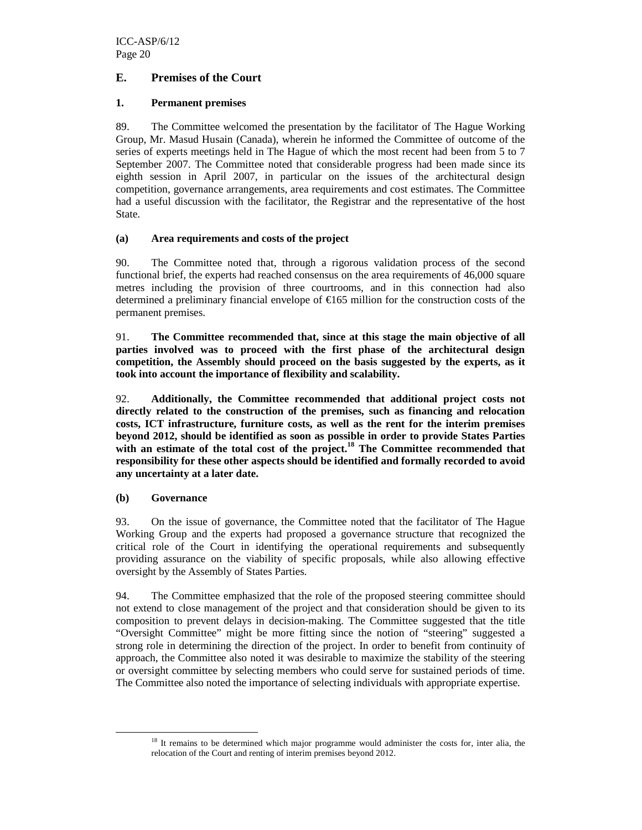### **E. Premises of the Court**

#### **1. Permanent premises**

89. The Committee welcomed the presentation by the facilitator of The Hague Working Group, Mr. Masud Husain (Canada), wherein he informed the Committee of outcome of the series of experts meetings held in The Hague of which the most recent had been from 5 to 7 September 2007. The Committee noted that considerable progress had been made since its eighth session in April 2007, in particular on the issues of the architectural design competition, governance arrangements, area requirements and cost estimates. The Committee had a useful discussion with the facilitator, the Registrar and the representative of the host State.

#### **(a) Area requirements and costs of the project**

90. The Committee noted that, through a rigorous validation process of the second functional brief, the experts had reached consensus on the area requirements of 46,000 square metres including the provision of three courtrooms, and in this connection had also determined a preliminary financial envelope of €165 million for the construction costs of the permanent premises.

91. **The Committee recommended that, since at this stage the main objective of all parties involved was to proceed with the first phase of the architectural design competition, the Assembly should proceed on the basis suggested by the experts, as it took into account the importance of flexibility and scalability.** 

92. **Additionally, the Committee recommended that additional project costs not directly related to the construction of the premises, such as financing and relocation costs, ICT infrastructure, furniture costs, as well as the rent for the interim premises beyond 2012, should be identified as soon as possible in order to provide States Parties with an estimate of the total cost of the project.<sup>18</sup> The Committee recommended that responsibility for these other aspects should be identified and formally recorded to avoid any uncertainty at a later date.** 

#### **(b) Governance**

-

93. On the issue of governance, the Committee noted that the facilitator of The Hague Working Group and the experts had proposed a governance structure that recognized the critical role of the Court in identifying the operational requirements and subsequently providing assurance on the viability of specific proposals, while also allowing effective oversight by the Assembly of States Parties.

94. The Committee emphasized that the role of the proposed steering committee should not extend to close management of the project and that consideration should be given to its composition to prevent delays in decision-making. The Committee suggested that the title "Oversight Committee" might be more fitting since the notion of "steering" suggested a strong role in determining the direction of the project. In order to benefit from continuity of approach, the Committee also noted it was desirable to maximize the stability of the steering or oversight committee by selecting members who could serve for sustained periods of time. The Committee also noted the importance of selecting individuals with appropriate expertise.

<sup>&</sup>lt;sup>18</sup> It remains to be determined which major programme would administer the costs for, inter alia, the relocation of the Court and renting of interim premises beyond 2012.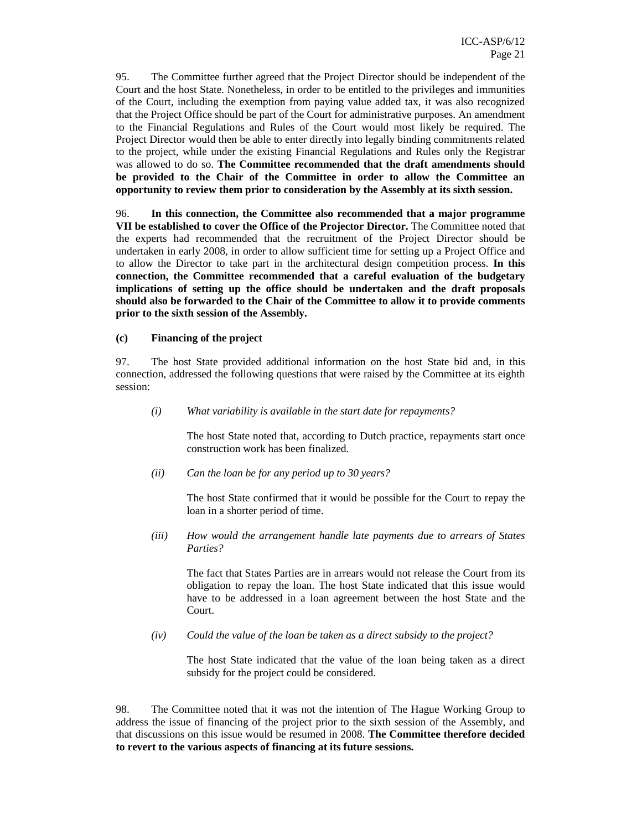95. The Committee further agreed that the Project Director should be independent of the Court and the host State. Nonetheless, in order to be entitled to the privileges and immunities of the Court, including the exemption from paying value added tax, it was also recognized that the Project Office should be part of the Court for administrative purposes. An amendment to the Financial Regulations and Rules of the Court would most likely be required. The Project Director would then be able to enter directly into legally binding commitments related to the project, while under the existing Financial Regulations and Rules only the Registrar was allowed to do so. **The Committee recommended that the draft amendments should be provided to the Chair of the Committee in order to allow the Committee an opportunity to review them prior to consideration by the Assembly at its sixth session.** 

96. **In this connection, the Committee also recommended that a major programme VII be established to cover the Office of the Projector Director.** The Committee noted that the experts had recommended that the recruitment of the Project Director should be undertaken in early 2008, in order to allow sufficient time for setting up a Project Office and to allow the Director to take part in the architectural design competition process. **In this connection, the Committee recommended that a careful evaluation of the budgetary implications of setting up the office should be undertaken and the draft proposals should also be forwarded to the Chair of the Committee to allow it to provide comments prior to the sixth session of the Assembly.** 

**(c) Financing of the project** 

97. The host State provided additional information on the host State bid and, in this connection, addressed the following questions that were raised by the Committee at its eighth session:

*(i) What variability is available in the start date for repayments?* 

The host State noted that, according to Dutch practice, repayments start once construction work has been finalized.

*(ii) Can the loan be for any period up to 30 years?*

The host State confirmed that it would be possible for the Court to repay the loan in a shorter period of time.

*(iii) How would the arrangement handle late payments due to arrears of States Parties?* 

The fact that States Parties are in arrears would not release the Court from its obligation to repay the loan. The host State indicated that this issue would have to be addressed in a loan agreement between the host State and the Court.

*(iv) Could the value of the loan be taken as a direct subsidy to the project?* 

The host State indicated that the value of the loan being taken as a direct subsidy for the project could be considered.

98. The Committee noted that it was not the intention of The Hague Working Group to address the issue of financing of the project prior to the sixth session of the Assembly, and that discussions on this issue would be resumed in 2008. **The Committee therefore decided to revert to the various aspects of financing at its future sessions.**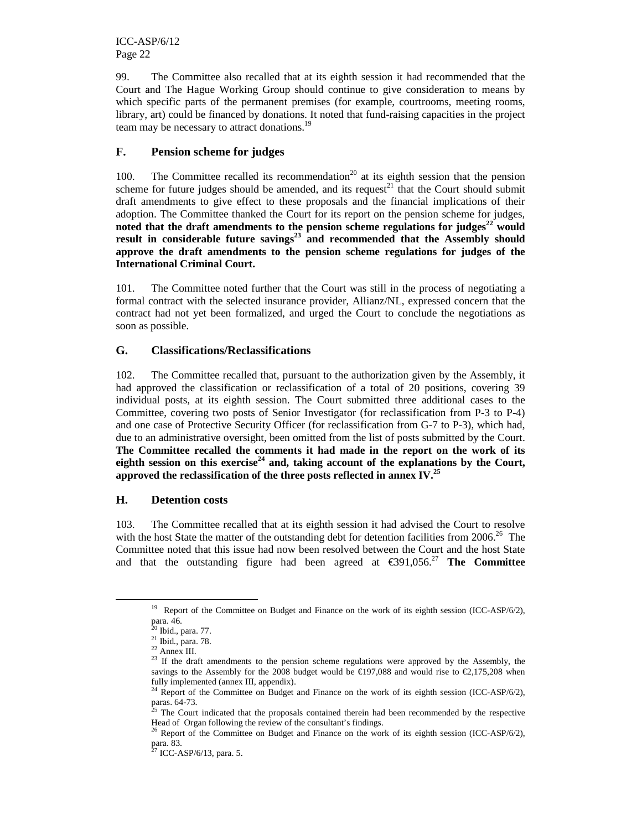99. The Committee also recalled that at its eighth session it had recommended that the Court and The Hague Working Group should continue to give consideration to means by which specific parts of the permanent premises (for example, courtrooms, meeting rooms, library, art) could be financed by donations. It noted that fund-raising capacities in the project team may be necessary to attract donations.<sup>19</sup>

#### **F. Pension scheme for judges**

100. The Committee recalled its recommendation<sup>20</sup> at its eighth session that the pension scheme for future judges should be amended, and its request<sup>21</sup> that the Court should submit draft amendments to give effect to these proposals and the financial implications of their adoption. The Committee thanked the Court for its report on the pension scheme for judges, **noted that the draft amendments to the pension scheme regulations for judges<sup>22</sup> would result in considerable future savings<sup>23</sup> and recommended that the Assembly should approve the draft amendments to the pension scheme regulations for judges of the International Criminal Court.** 

101. The Committee noted further that the Court was still in the process of negotiating a formal contract with the selected insurance provider, Allianz/NL, expressed concern that the contract had not yet been formalized, and urged the Court to conclude the negotiations as soon as possible.

#### **G. Classifications/Reclassifications**

102. The Committee recalled that, pursuant to the authorization given by the Assembly, it had approved the classification or reclassification of a total of 20 positions, covering 39 individual posts, at its eighth session. The Court submitted three additional cases to the Committee, covering two posts of Senior Investigator (for reclassification from P-3 to P-4) and one case of Protective Security Officer (for reclassification from G-7 to P-3), which had, due to an administrative oversight, been omitted from the list of posts submitted by the Court. **The Committee recalled the comments it had made in the report on the work of its eighth session on this exercise<sup>24</sup> and, taking account of the explanations by the Court, approved the reclassification of the three posts reflected in annex IV.<sup>25</sup>** 

#### **H. Detention costs**

103. The Committee recalled that at its eighth session it had advised the Court to resolve with the host State the matter of the outstanding debt for detention facilities from  $2006<sup>26</sup>$  The Committee noted that this issue had now been resolved between the Court and the host State and that the outstanding figure had been agreed at  $\epsilon$ 391,056<sup>27</sup> **The Committee** 

<sup>&</sup>lt;sup>19</sup> Report of the Committee on Budget and Finance on the work of its eighth session (ICC-ASP/6/2), para. 46.

<sup>&</sup>lt;sup>20</sup> Ibid., para. 77.

<sup>21</sup> Ibid*.,* para. 78.

<sup>22</sup> Annex III.

<sup>&</sup>lt;sup>23</sup> If the draft amendments to the pension scheme regulations were approved by the Assembly, the savings to the Assembly for the 2008 budget would be  $\epsilon$ 197,088 and would rise to  $\epsilon$ 2,175,208 when fully implemented (annex III, appendix).

<sup>&</sup>lt;sup>24</sup> Report of the Committee on Budget and Finance on the work of its eighth session (ICC-ASP/6/2), paras. 64-73.

<sup>&</sup>lt;sup>25</sup> The Court indicated that the proposals contained therein had been recommended by the respective Head of Organ following the review of the consultant's findings.

<sup>&</sup>lt;sup>26</sup> Report of the Committee on Budget and Finance on the work of its eighth session (ICC-ASP/6/2), para. 83.

 $27$  ICC-ASP/6/13, para. 5.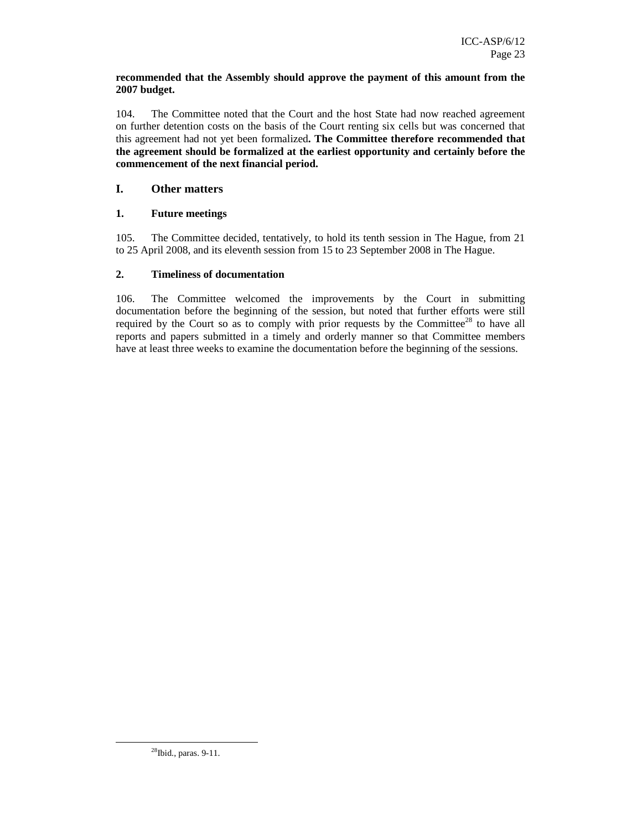#### **recommended that the Assembly should approve the payment of this amount from the 2007 budget.**

104. The Committee noted that the Court and the host State had now reached agreement on further detention costs on the basis of the Court renting six cells but was concerned that this agreement had not yet been formalized**. The Committee therefore recommended that the agreement should be formalized at the earliest opportunity and certainly before the commencement of the next financial period.** 

#### **I. Other matters**

#### **1. Future meetings**

105. The Committee decided, tentatively, to hold its tenth session in The Hague, from 21 to 25 April 2008, and its eleventh session from 15 to 23 September 2008 in The Hague.

#### **2. Timeliness of documentation**

106. The Committee welcomed the improvements by the Court in submitting documentation before the beginning of the session, but noted that further efforts were still required by the Court so as to comply with prior requests by the Committee<sup>28</sup> to have all reports and papers submitted in a timely and orderly manner so that Committee members have at least three weeks to examine the documentation before the beginning of the sessions.

<sup>28</sup>Ibid., paras. 9-11.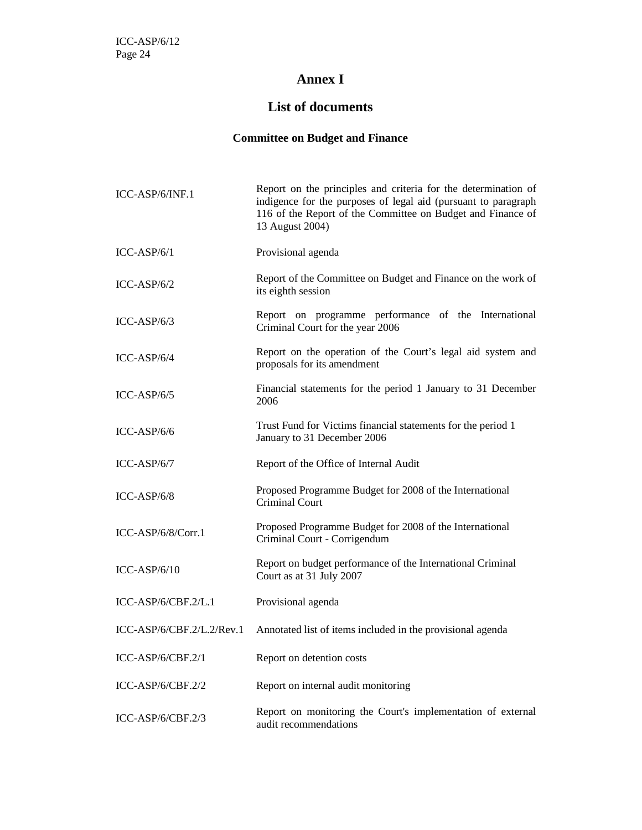# **Annex I**

# **List of documents**

# **Committee on Budget and Finance**

| ICC-ASP/6/INF.1             | Report on the principles and criteria for the determination of<br>indigence for the purposes of legal aid (pursuant to paragraph<br>116 of the Report of the Committee on Budget and Finance of<br>13 August 2004) |
|-----------------------------|--------------------------------------------------------------------------------------------------------------------------------------------------------------------------------------------------------------------|
| $ICC-ASP/6/1$               | Provisional agenda                                                                                                                                                                                                 |
| $ICC-ASP/6/2$               | Report of the Committee on Budget and Finance on the work of<br>its eighth session                                                                                                                                 |
| $ICC-ASP/6/3$               | Report on programme performance of the International<br>Criminal Court for the year 2006                                                                                                                           |
| $ICC-ASP/6/4$               | Report on the operation of the Court's legal aid system and<br>proposals for its amendment                                                                                                                         |
| $ICC-ASP/6/5$               | Financial statements for the period 1 January to 31 December<br>2006                                                                                                                                               |
| $ICC-ASP/6/6$               | Trust Fund for Victims financial statements for the period 1<br>January to 31 December 2006                                                                                                                        |
| $ICC-ASP/6/7$               | Report of the Office of Internal Audit                                                                                                                                                                             |
| $ICC-ASP/6/8$               | Proposed Programme Budget for 2008 of the International<br>Criminal Court                                                                                                                                          |
| $ICC-ASP/6/8/Corr.1$        | Proposed Programme Budget for 2008 of the International<br>Criminal Court - Corrigendum                                                                                                                            |
| $ICC-ASP/6/10$              | Report on budget performance of the International Criminal<br>Court as at 31 July 2007                                                                                                                             |
| $ICC-ASP/6/CBF.2/L.1$       | Provisional agenda                                                                                                                                                                                                 |
| $ICC-ASP/6/CBF.2/L.2/Rev.1$ | Annotated list of items included in the provisional agenda                                                                                                                                                         |
| $ICC-ASP/6/CBF.2/1$         | Report on detention costs                                                                                                                                                                                          |
| $ICC-ASP/6/CBF.2/2$         | Report on internal audit monitoring                                                                                                                                                                                |
| $ICC-ASP/6/CBF.2/3$         | Report on monitoring the Court's implementation of external<br>audit recommendations                                                                                                                               |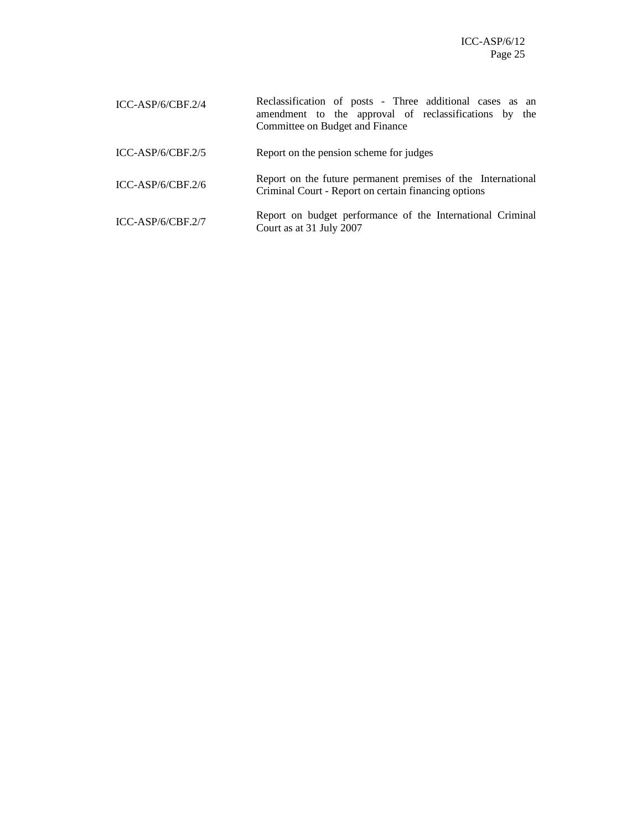ICC-ASP/6/CBF.2/4 Reclassification of posts - Three additional cases as an amendment to the approval of reclassifications by the Committee on Budget and Finance ICC-ASP/6/CBF.2/5 Report on the pension scheme for judges ICC-ASP/6/CBF.2/6 Report on the future permanent premises of the International Criminal Court - Report on certain financing options ICC-ASP/6/CBF.2/7 Report on budget performance of the International Criminal Court as at 31 July 2007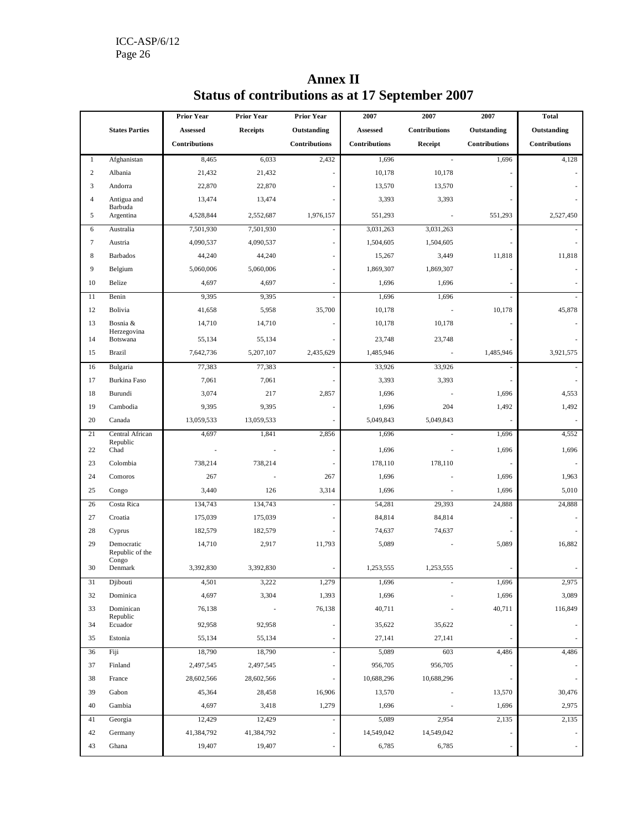|                |                               | <b>Prior Year</b>    | <b>Prior Year</b> | <b>Prior Year</b>    | 2007          | 2007          | 2007          | <b>Total</b>  |
|----------------|-------------------------------|----------------------|-------------------|----------------------|---------------|---------------|---------------|---------------|
|                | <b>States Parties</b>         | Assessed             | <b>Receipts</b>   | Outstanding          | Assessed      | Contributions | Outstanding   | Outstanding   |
|                |                               | <b>Contributions</b> |                   | <b>Contributions</b> | Contributions | Receipt       | Contributions | Contributions |
| $\mathbf{1}$   | Afghanistan                   | 8,465                | 6,033             | 2,432                | 1,696         | ÷,            | 1,696         | 4,128         |
| $\overline{c}$ | Albania                       | 21,432               | 21,432            |                      | 10,178        | 10,178        |               |               |
| 3              | Andorra                       | 22,870               | 22,870            |                      | 13,570        | 13,570        |               |               |
| $\overline{4}$ | Antigua and                   | 13,474               | 13,474            |                      | 3,393         | 3,393         |               |               |
| 5              | Barbuda<br>Argentina          | 4,528,844            | 2,552,687         | 1,976,157            | 551,293       | ÷,            | 551,293       | 2,527,450     |
| 6              | Australia                     | 7,501,930            | 7,501,930         |                      | 3,031,263     | 3,031,263     |               |               |
| 7              | Austria                       | 4,090,537            | 4,090,537         |                      | 1,504,605     | 1,504,605     |               |               |
| 8              | <b>Barbados</b>               | 44,240               | 44,240            |                      | 15,267        | 3,449         | 11,818        | 11,818        |
| 9              | Belgium                       | 5,060,006            | 5,060,006         |                      | 1,869,307     | 1,869,307     |               |               |
| 10             | Belize                        | 4,697                | 4,697             |                      | 1,696         | 1,696         |               |               |
| 11             | Benin                         | 9,395                | 9,395             |                      | 1,696         | 1,696         |               |               |
| 12             | Bolivia                       | 41,658               | 5,958             | 35,700               | 10,178        |               | 10,178        | 45,878        |
| 13             | Bosnia &                      | 14,710               | 14,710            | ÷                    | 10,178        | 10,178        |               |               |
|                | Herzegovina                   |                      |                   |                      |               |               |               |               |
| 14             | Botswana                      | 55,134               | 55,134            |                      | 23,748        | 23,748        |               |               |
| 15             | <b>Brazil</b>                 | 7,642,736            | 5,207,107         | 2,435,629            | 1,485,946     | ÷,            | 1,485,946     | 3.921.575     |
| 16             | Bulgaria                      | 77,383               | 77,383            | ÷.                   | 33,926        | 33,926        |               |               |
| 17             | Burkina Faso                  | 7,061                | 7,061             |                      | 3,393         | 3,393         |               |               |
| 18             | Burundi                       | 3,074                | 217               | 2,857                | 1,696         |               | 1,696         | 4,553         |
| 19             | Cambodia                      | 9,395                | 9,395             |                      | 1,696         | 204           | 1,492         | 1,492         |
| 20             | Canada                        | 13,059,533           | 13,059,533        |                      | 5,049,843     | 5,049,843     |               |               |
| 21             | Central African<br>Republic   | 4,697                | 1,841             | 2,856                | 1,696         |               | 1,696         | 4,552         |
| 22             | Chad                          |                      |                   | ×,                   | 1,696         |               | 1,696         | 1,696         |
| 23             | Colombia                      | 738,214              | 738,214           |                      | 178,110       | 178,110       |               |               |
| 24             | Comoros                       | 267                  |                   | 267                  | 1,696         |               | 1,696         | 1,963         |
| 25             | Congo                         | 3,440                | 126               | 3,314                | 1,696         |               | 1,696         | 5,010         |
| 26             | Costa Rica                    | 134,743              | 134,743           |                      | 54,281        | 29,393        | 24,888        | 24,888        |
| 27             | Croatia                       | 175,039              | 175,039           |                      | 84,814        | 84,814        |               |               |
| 28             | Cyprus                        | 182,579              | 182,579           |                      | 74,637        | 74,637        |               |               |
| 29             | Democratic<br>Republic of the | 14,710               | 2,917             | 11,793               | 5,089         |               | 5,089         | 16,882        |
| 30             | Congo<br>Denmark              | 3,392,830            | 3,392,830         |                      | 1,253,555     | 1,253,555     |               |               |
| 31             | Djibouti                      | 4,501                | 3,222             | 1,279                | 1,696         |               | 1,696         | 2,975         |
| 32             | Dominica                      | 4,697                | 3,304             | 1,393                | 1,696         |               | 1,696         | 3,089         |
| 33             | Dominican                     | 76,138               |                   | 76,138               | 40,711        |               | 40,711        | 116,849       |
| 34             | Republic<br>Ecuador           | 92,958               | 92,958            |                      | 35,622        | 35,622        |               |               |
| 35             | Estonia                       | 55,134               | 55,134            |                      | 27,141        | 27,141        |               |               |
| 36             | Fiji                          | 18,790               | 18,790            |                      | 5,089         | 603           | 4,486         | 4,486         |
| 37             | Finland                       | 2,497,545            | 2,497,545         |                      | 956,705       | 956,705       |               |               |
| 38             | France                        | 28,602,566           | 28,602,566        |                      | 10,688,296    | 10,688,296    |               |               |
| 39             | Gabon                         | 45,364               | 28,458            | 16,906               | 13,570        |               | 13,570        | 30,476        |
| 40             | Gambia                        | 4,697                | 3,418             | 1,279                | 1,696         |               | 1,696         | 2,975         |
| 41             | Georgia                       | 12,429               | 12,429            |                      | 5,089         | 2,954         | 2,135         | 2,135         |
| 42             | Germany                       | 41,384,792           | 41,384,792        |                      | 14,549,042    | 14,549,042    |               |               |

43 Ghana 19,407 19,407 - 6,785 6,785 - -

# **Annex II Status of contributions as at 17 September 2007**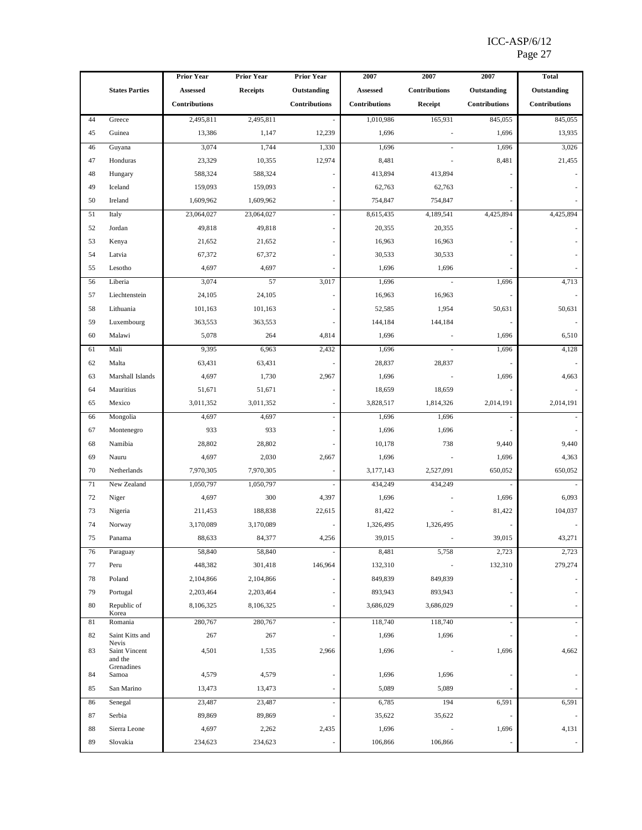|        |                          | <b>Prior Year</b>    | <b>Prior Year</b> | <b>Prior Year</b> | 2007            | 2007          | 2007                     | <b>Total</b>             |
|--------|--------------------------|----------------------|-------------------|-------------------|-----------------|---------------|--------------------------|--------------------------|
|        | <b>States Parties</b>    | Assessed             | <b>Receipts</b>   | Outstanding       | <b>Assessed</b> | Contributions | Outstanding              | Outstanding              |
|        |                          | <b>Contributions</b> |                   | Contributions     | Contributions   | Receipt       | Contributions            | <b>Contributions</b>     |
| 44     | Greece                   | 2,495,811            | 2,495,811         |                   | 1,010,986       | 165,931       | 845,055                  | 845,055                  |
| 45     | Guinea                   | 13,386               | 1,147             | 12,239            | 1,696           |               | 1,696                    | 13,935                   |
| 46     | Guyana                   | 3,074                | 1,744             | 1,330             | 1,696           |               | 1,696                    | 3,026                    |
| 47     | Honduras                 | 23,329               | 10,355            | 12,974            | 8,481           |               | 8,481                    | 21,455                   |
| 48     | Hungary                  | 588,324              | 588,324           |                   | 413,894         | 413,894       |                          |                          |
| 49     | Iceland                  | 159,093              | 159,093           |                   | 62,763          | 62,763        |                          |                          |
| 50     | Ireland                  | 1,609,962            | 1,609,962         |                   | 754,847         | 754,847       |                          |                          |
| 51     | Italy                    | 23,064,027           | 23,064,027        |                   | 8,615,435       | 4,189,541     | 4,425,894                | 4,425,894                |
| 52     | Jordan                   | 49,818               | 49,818            |                   | 20,355          | 20,355        |                          |                          |
| 53     | Kenya                    | 21,652               | 21,652            |                   | 16,963          | 16,963        |                          |                          |
| 54     | Latvia                   | 67,372               | 67,372            |                   | 30,533          | 30,533        |                          |                          |
| 55     | Lesotho                  | 4,697                | 4,697             |                   | 1,696           | 1,696         |                          |                          |
| 56     | Liberia                  | 3,074                | 57                | 3,017             | 1,696           | ä,            | 1,696                    | 4,713                    |
| 57     | Liechtenstein            | 24,105               | 24,105            |                   | 16,963          | 16,963        |                          |                          |
| 58     | Lithuania                | 101,163              | 101,163           |                   | 52,585          | 1,954         | 50,631                   | 50,631                   |
| 59     | Luxembourg               | 363,553              | 363,553           |                   | 144,184         | 144,184       |                          |                          |
| 60     | Malawi                   | 5,078                | 264               | 4,814             | 1,696           |               | 1,696                    | 6,510                    |
| 61     | Mali                     | 9,395                | 6,963             | 2,432             | 1,696           |               | 1,696                    | 4,128                    |
| 62     | Malta                    | 63,431               | 63,431            |                   | 28,837          | 28,837        |                          |                          |
| 63     | Marshall Islands         | 4,697                | 1,730             | 2,967             | 1,696           |               | 1,696                    | 4,663                    |
| 64     | Mauritius                | 51,671               | 51,671            |                   | 18,659          | 18,659        |                          |                          |
| 65     | Mexico                   | 3,011,352            | 3,011,352         |                   | 3,828,517       | 1,814,326     | 2,014,191                | 2,014,191                |
| 66     | Mongolia                 | 4,697                | 4,697             |                   | 1,696           | 1,696         | $\sim$                   |                          |
| 67     | Montenegro               | 933                  | 933               |                   | 1,696           | 1,696         |                          |                          |
| 68     | Namibia                  | 28,802               | 28,802            |                   | 10,178          | 738           | 9,440                    | 9,440                    |
| 69     | Nauru                    | 4,697                | 2,030             | 2,667             | 1,696           |               | 1,696                    | 4,363                    |
| 70     | Netherlands              | 7,970,305            | 7,970,305         |                   | 3,177,143       | 2,527,091     | 650,052                  | 650,052                  |
| 71     | New Zealand              | 1,050,797            | 1,050,797         |                   | 434,249         | 434,249       | $\overline{\phantom{a}}$ |                          |
| $72\,$ | Niger                    | 4,697                | 300               | 4,397             | 1,696           |               | 1,696                    | 6,093                    |
| 73     | Nigeria                  | 211,453              | 188,838           | 22,615            | 81,422          |               | 81,422                   | 104,037                  |
| 74     | Norway                   | 3,170,089            | 3,170,089         |                   | 1,326,495       | 1,326,495     |                          |                          |
| 75     | Panama                   | 88,633               | 84,377            | 4,256             | 39,015          |               | 39,015                   | 43,271                   |
| 76     | Paraguay                 | 58,840               | 58,840            |                   | 8,481           | 5,758         | 2,723                    | 2,723                    |
| 77     | Peru                     | 448,382              | 301,418           | 146,964           | 132,310         |               | 132,310                  | 279,274                  |
| 78     | Poland                   | 2,104,866            | 2,104,866         |                   | 849,839         | 849,839       |                          |                          |
| 79     | Portugal                 | 2,203,464            | 2,203,464         |                   | 893,943         | 893,943       |                          |                          |
| 80     | Republic of<br>Korea     | 8,106,325            | 8,106,325         |                   | 3,686,029       | 3,686,029     |                          |                          |
| 81     | Romania                  | 280,767              | 280,767           |                   | 118,740         | 118,740       | ÷,                       |                          |
| 82     | Saint Kitts and<br>Nevis | 267                  | 267               |                   | 1,696           | 1,696         |                          |                          |
| 83     | Saint Vincent<br>and the | 4,501                | 1,535             | 2,966             | 1,696           |               | 1,696                    | 4,662                    |
| 84     | Grenadines<br>Samoa      | 4,579                | 4,579             |                   | 1,696           | 1,696         |                          |                          |
| 85     | San Marino               | 13,473               | 13,473            |                   | 5,089           | 5,089         |                          | $\overline{\phantom{a}}$ |
| 86     | Senegal                  | 23,487               | 23,487            |                   | 6,785           | 194           | 6,591                    | 6,591                    |
| 87     | Serbia                   | 89,869               | 89,869            |                   | 35,622          | 35,622        |                          | $\overline{\phantom{a}}$ |
| 88     | Sierra Leone             | 4,697                | 2,262             | 2,435             | 1,696           |               | 1,696                    | 4,131                    |
| 89     | Slovakia                 | 234,623              | 234,623           |                   | 106,866         | 106,866       |                          | $\sim$                   |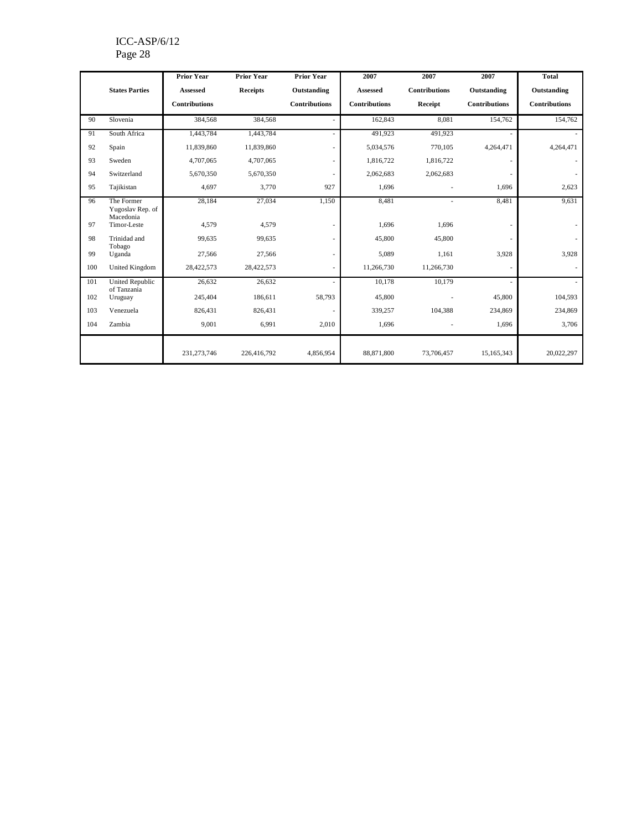#### ICC-ASP/6/12 Page 28

|     |                                             | <b>Prior Year</b>    | <b>Prior Year</b> | <b>Prior Year</b>    | 2007                 | 2007          | 2007                 | <b>Total</b>         |
|-----|---------------------------------------------|----------------------|-------------------|----------------------|----------------------|---------------|----------------------|----------------------|
|     | <b>States Parties</b>                       | <b>Assessed</b>      | <b>Receipts</b>   | Outstanding          | <b>Assessed</b>      | Contributions | Outstanding          | Outstanding          |
|     |                                             | <b>Contributions</b> |                   | <b>Contributions</b> | <b>Contributions</b> | Receipt       | <b>Contributions</b> | <b>Contributions</b> |
| 90  | Slovenia                                    | 384,568              | 384.568           |                      | 162,843              | 8.081         | 154,762              | 154,762              |
| 91  | South Africa                                | 1,443,784            | 1,443,784         |                      | 491,923              | 491,923       |                      |                      |
| 92  | Spain                                       | 11,839,860           | 11,839,860        |                      | 5,034,576            | 770,105       | 4,264,471            | 4,264,471            |
| 93  | Sweden                                      | 4,707,065            | 4,707,065         |                      | 1,816,722            | 1,816,722     |                      | $\sim$               |
| 94  | Switzerland                                 | 5,670,350            | 5,670,350         |                      | 2,062,683            | 2,062,683     |                      | $\sim$               |
| 95  | Tajikistan                                  | 4,697                | 3,770             | 927                  | 1,696                |               | 1,696                | 2,623                |
| 96  | The Former<br>Yugoslav Rep. of<br>Macedonia | 28,184               | 27,034            | 1,150                | 8,481                |               | 8,481                | 9,631                |
| 97  | Timor-Leste                                 | 4,579                | 4,579             |                      | 1,696                | 1,696         | ٠                    | $\sim$               |
| 98  | Trinidad and<br>Tobago                      | 99,635               | 99,635            |                      | 45,800               | 45,800        |                      | $\sim$               |
| 99  | Uganda                                      | 27,566               | 27,566            |                      | 5,089                | 1.161         | 3,928                | 3,928                |
| 100 | United Kingdom                              | 28,422,573           | 28,422,573        |                      | 11,266,730           | 11,266,730    | ٠                    | $\sim$               |
| 101 | <b>United Republic</b><br>of Tanzania       | 26,632               | 26,632            |                      | 10,178               | 10,179        |                      | $\sim$               |
| 102 | Uruguay                                     | 245,404              | 186,611           | 58,793               | 45,800               |               | 45,800               | 104,593              |
| 103 | Venezuela                                   | 826,431              | 826,431           |                      | 339,257              | 104,388       | 234,869              | 234,869              |
| 104 | Zambia                                      | 9,001                | 6,991             | 2,010                | 1,696                |               | 1,696                | 3,706                |
|     |                                             | 231, 273, 746        | 226,416,792       | 4,856,954            | 88,871,800           | 73,706,457    | 15,165,343           | 20,022,297           |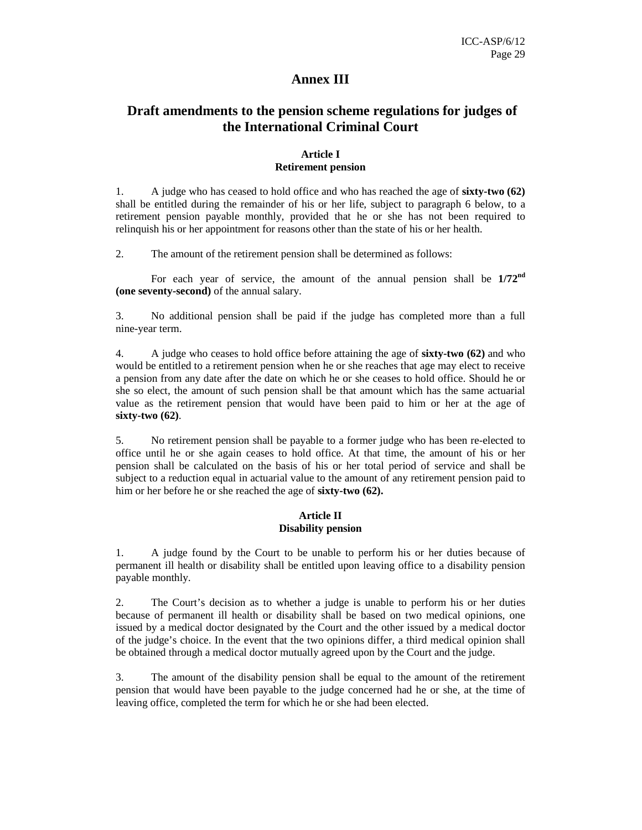## **Annex III**

## **Draft amendments to the pension scheme regulations for judges of the International Criminal Court**

#### **Article I Retirement pension**

1. A judge who has ceased to hold office and who has reached the age of **sixty-two (62)** shall be entitled during the remainder of his or her life, subject to paragraph 6 below, to a retirement pension payable monthly, provided that he or she has not been required to relinquish his or her appointment for reasons other than the state of his or her health.

2. The amount of the retirement pension shall be determined as follows:

For each year of service, the amount of the annual pension shall be **1/72nd (one seventy-second)** of the annual salary.

3. No additional pension shall be paid if the judge has completed more than a full nine-year term.

4. A judge who ceases to hold office before attaining the age of **sixty-two (62)** and who would be entitled to a retirement pension when he or she reaches that age may elect to receive a pension from any date after the date on which he or she ceases to hold office. Should he or she so elect, the amount of such pension shall be that amount which has the same actuarial value as the retirement pension that would have been paid to him or her at the age of **sixty-two (62)**.

5. No retirement pension shall be payable to a former judge who has been re-elected to office until he or she again ceases to hold office. At that time, the amount of his or her pension shall be calculated on the basis of his or her total period of service and shall be subject to a reduction equal in actuarial value to the amount of any retirement pension paid to him or her before he or she reached the age of **sixty-two (62).**

#### **Article II Disability pension**

1. A judge found by the Court to be unable to perform his or her duties because of permanent ill health or disability shall be entitled upon leaving office to a disability pension payable monthly.

2. The Court's decision as to whether a judge is unable to perform his or her duties because of permanent ill health or disability shall be based on two medical opinions, one issued by a medical doctor designated by the Court and the other issued by a medical doctor of the judge's choice. In the event that the two opinions differ, a third medical opinion shall be obtained through a medical doctor mutually agreed upon by the Court and the judge.

3. The amount of the disability pension shall be equal to the amount of the retirement pension that would have been payable to the judge concerned had he or she, at the time of leaving office, completed the term for which he or she had been elected.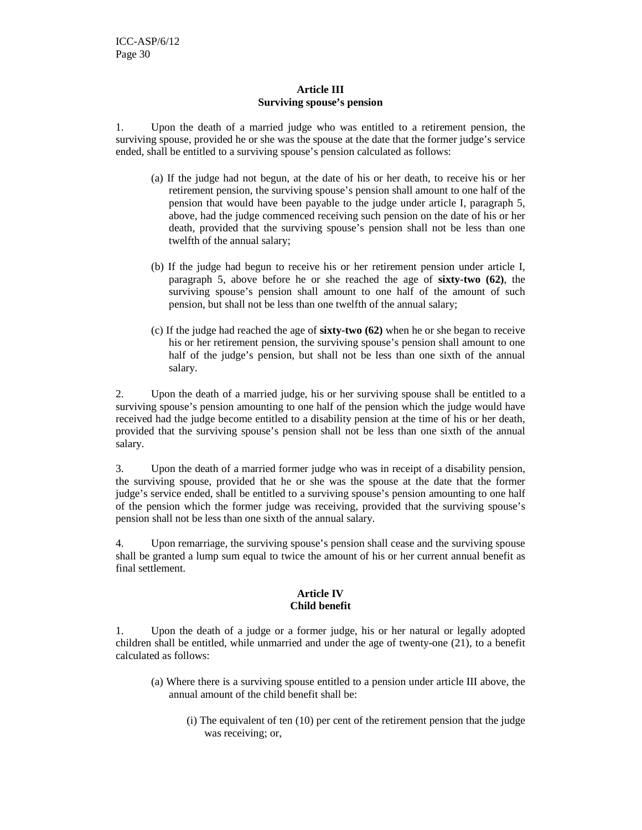#### **Article III Surviving spouse's pension**

1. Upon the death of a married judge who was entitled to a retirement pension, the surviving spouse, provided he or she was the spouse at the date that the former judge's service ended, shall be entitled to a surviving spouse's pension calculated as follows:

- (a) If the judge had not begun, at the date of his or her death, to receive his or her retirement pension, the surviving spouse's pension shall amount to one half of the pension that would have been payable to the judge under article I, paragraph 5, above, had the judge commenced receiving such pension on the date of his or her death, provided that the surviving spouse's pension shall not be less than one twelfth of the annual salary;
- (b) If the judge had begun to receive his or her retirement pension under article I, paragraph 5, above before he or she reached the age of **sixty-two (62)**, the surviving spouse's pension shall amount to one half of the amount of such pension, but shall not be less than one twelfth of the annual salary;
- (c) If the judge had reached the age of **sixty-two (62)** when he or she began to receive his or her retirement pension, the surviving spouse's pension shall amount to one half of the judge's pension, but shall not be less than one sixth of the annual salary.

2. Upon the death of a married judge, his or her surviving spouse shall be entitled to a surviving spouse's pension amounting to one half of the pension which the judge would have received had the judge become entitled to a disability pension at the time of his or her death, provided that the surviving spouse's pension shall not be less than one sixth of the annual salary.

3. Upon the death of a married former judge who was in receipt of a disability pension, the surviving spouse, provided that he or she was the spouse at the date that the former judge's service ended, shall be entitled to a surviving spouse's pension amounting to one half of the pension which the former judge was receiving, provided that the surviving spouse's pension shall not be less than one sixth of the annual salary.

4. Upon remarriage, the surviving spouse's pension shall cease and the surviving spouse shall be granted a lump sum equal to twice the amount of his or her current annual benefit as final settlement.

#### **Article IV Child benefit**

1. Upon the death of a judge or a former judge, his or her natural or legally adopted children shall be entitled, while unmarried and under the age of twenty-one (21), to a benefit calculated as follows:

- (a) Where there is a surviving spouse entitled to a pension under article III above, the annual amount of the child benefit shall be:
	- (i) The equivalent of ten (10) per cent of the retirement pension that the judge was receiving; or,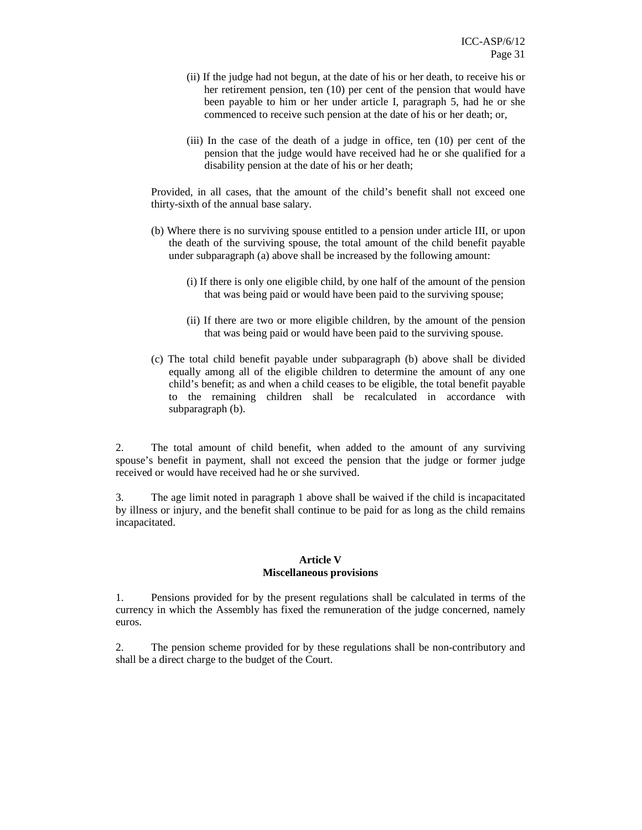- (ii) If the judge had not begun, at the date of his or her death, to receive his or her retirement pension, ten (10) per cent of the pension that would have been payable to him or her under article I, paragraph 5, had he or she commenced to receive such pension at the date of his or her death; or,
- (iii) In the case of the death of a judge in office, ten (10) per cent of the pension that the judge would have received had he or she qualified for a disability pension at the date of his or her death;

Provided, in all cases, that the amount of the child's benefit shall not exceed one thirty-sixth of the annual base salary.

- (b) Where there is no surviving spouse entitled to a pension under article III, or upon the death of the surviving spouse, the total amount of the child benefit payable under subparagraph (a) above shall be increased by the following amount:
	- (i) If there is only one eligible child, by one half of the amount of the pension that was being paid or would have been paid to the surviving spouse;
	- (ii) If there are two or more eligible children, by the amount of the pension that was being paid or would have been paid to the surviving spouse.
- (c) The total child benefit payable under subparagraph (b) above shall be divided equally among all of the eligible children to determine the amount of any one child's benefit; as and when a child ceases to be eligible, the total benefit payable to the remaining children shall be recalculated in accordance with subparagraph (b).

2. The total amount of child benefit, when added to the amount of any surviving spouse's benefit in payment, shall not exceed the pension that the judge or former judge received or would have received had he or she survived.

3. The age limit noted in paragraph 1 above shall be waived if the child is incapacitated by illness or injury, and the benefit shall continue to be paid for as long as the child remains incapacitated.

#### **Article V Miscellaneous provisions**

1. Pensions provided for by the present regulations shall be calculated in terms of the currency in which the Assembly has fixed the remuneration of the judge concerned, namely euros.

2. The pension scheme provided for by these regulations shall be non-contributory and shall be a direct charge to the budget of the Court.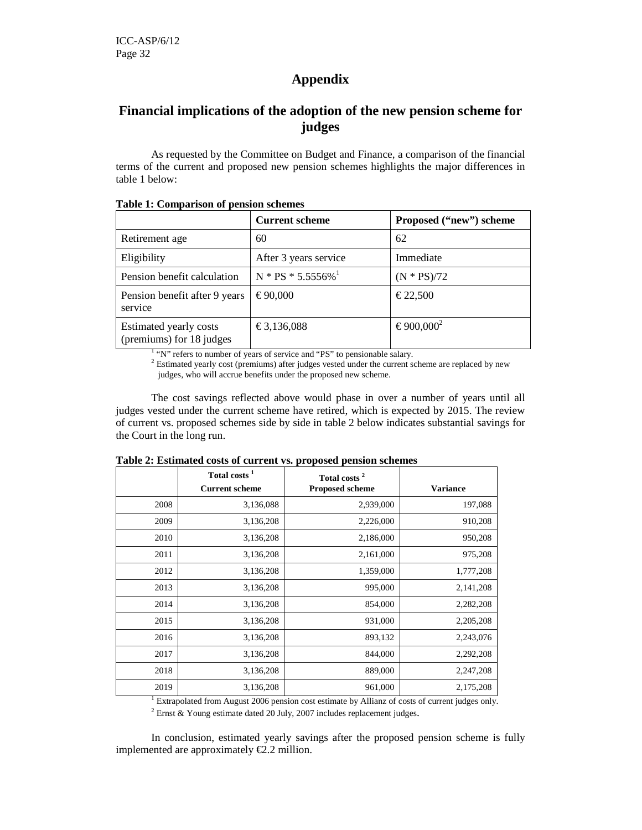# **Appendix**

## **Financial implications of the adoption of the new pension scheme for judges**

As requested by the Committee on Budget and Finance, a comparison of the financial terms of the current and proposed new pension schemes highlights the major differences in table 1 below:

|                                                    | <b>Current scheme</b>            | Proposed ("new") scheme |
|----------------------------------------------------|----------------------------------|-------------------------|
| Retirement age                                     | 60                               | 62                      |
| Eligibility                                        | After 3 years service            | Immediate               |
| Pension benefit calculation                        | $N * PS * 5.5556\%$ <sup>1</sup> | $(N * PS)/72$           |
| Pension benefit after 9 years<br>service           | € 90,000                         | € 22.500                |
| Estimated yearly costs<br>(premiums) for 18 judges | € 3,136,088                      | € 900,000               |

**Table 1: Comparison of pension schemes**

<sup>1</sup> "N" refers to number of years of service and "PS" to pensionable salary.

 $2$  Estimated yearly cost (premiums) after judges vested under the current scheme are replaced by new judges, who will accrue benefits under the proposed new scheme.

The cost savings reflected above would phase in over a number of years until all judges vested under the current scheme have retired, which is expected by 2015. The review of current vs. proposed schemes side by side in table 2 below indicates substantial savings for the Court in the long run.

|      | Total costs <sup>1</sup><br><b>Current scheme</b> | Total costs <sup>2</sup><br><b>Proposed scheme</b> | <b>Variance</b> |
|------|---------------------------------------------------|----------------------------------------------------|-----------------|
|      |                                                   |                                                    |                 |
| 2008 | 3,136,088                                         | 2,939,000                                          | 197,088         |
| 2009 | 3,136,208                                         | 2,226,000                                          | 910,208         |
| 2010 | 3,136,208                                         | 2,186,000                                          | 950,208         |
| 2011 | 3,136,208                                         | 2,161,000                                          | 975,208         |
| 2012 | 3,136,208                                         | 1,359,000                                          | 1,777,208       |
| 2013 | 3,136,208                                         | 995,000                                            | 2,141,208       |
| 2014 | 3,136,208                                         | 854,000                                            | 2,282,208       |
| 2015 | 3,136,208                                         | 931,000                                            | 2,205,208       |
| 2016 | 3,136,208                                         | 893,132                                            | 2,243,076       |
| 2017 | 3,136,208                                         | 844,000                                            | 2,292,208       |
| 2018 | 3,136,208                                         | 889,000                                            | 2,247,208       |
| 2019 | 3,136,208                                         | 961,000                                            | 2,175,208       |

**Table 2: Estimated costs of current vs. proposed pension schemes**

<sup>1</sup> Extrapolated from August 2006 pension cost estimate by Allianz of costs of current judges only. <sup>2</sup> Ernst & Young estimate dated 20 July, 2007 includes replacement judges.

In conclusion, estimated yearly savings after the proposed pension scheme is fully implemented are approximately €2.2 million.